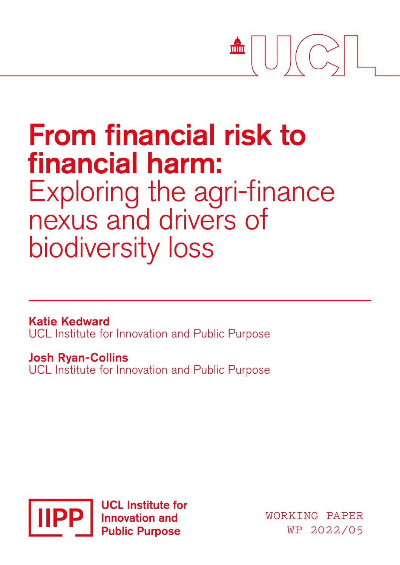# From financial risk to financial harm: Exploring the agri-finance nexus and drivers of biodiversity loss

**IIIII** 

Katie Kedward UCL Institute for Innovation and Public Purpose

Josh Ryan-Collins UCL Institute for Innovation and Public Purpose



UCL Institute for UCL Institute forInnovation and Public Purpose

WORKING PAPER WP 2022/05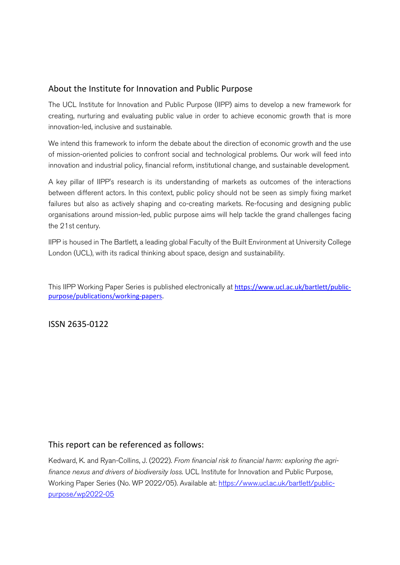#### About the Institute for Innovation and Public Purpose

The UCL Institute for Innovation and Public Purpose (IIPP) aims to develop a new framework for creating, nurturing and evaluating public value in order to achieve economic growth that is more innovation-led, inclusive and sustainable.

We intend this framework to inform the debate about the direction of economic growth and the use of mission-oriented policies to confront social and technological problems. Our work will feed into innovation and industrial policy, financial reform, institutional change, and sustainable development.

A key pillar of IIPP's research is its understanding of markets as outcomes of the interactions between different actors. In this context, public policy should not be seen as simply fixing market failures but also as actively shaping and co-creating markets. Re-focusing and designing public organisations around mission-led, public purpose aims will help tackle the grand challenges facing the 21st century.

IIPP is housed in The Bartlett, a leading global Faculty of the Built Environment at University College London (UCL), with its radical thinking about space, design and sustainability.

This IIPP Working Paper Series is published electronically at [https://www.ucl.ac.uk/bartlett/public](https://www.ucl.ac.uk/bartlett/public-purpose/publications/working-papers)[purpose/publications/working-papers.](https://www.ucl.ac.uk/bartlett/public-purpose/publications/working-papers)

ISSN 2635-0122

#### This report can be referenced as follows:

Kedward, K. and Ryan-Collins, J. (2022). *From financial risk to financial harm: exploring the agrifinance nexus and drivers of biodiversity loss.* UCL Institute for Innovation and Public Purpose, Working Paper Series (No. WP 2022/05). Available at: [https://www.ucl.ac.uk/bartlett/public](https://www.ucl.ac.uk/bartlett/public-purpose/wp2022-05)[purpose/wp2022-05](https://www.ucl.ac.uk/bartlett/public-purpose/wp2022-05)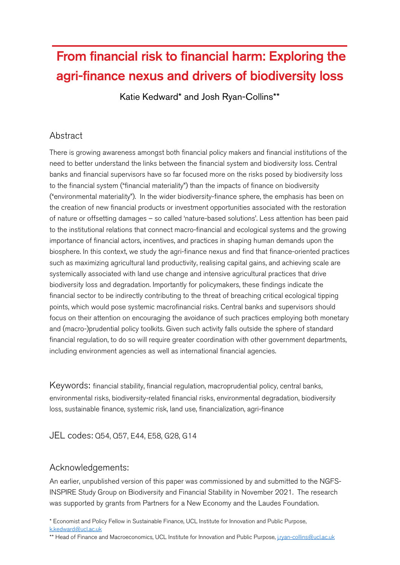# From financial risk to financial harm: Exploring the agri-finance nexus and drivers of biodiversity loss

Katie Kedward\* and Josh Ryan-Collins\*\*

### Abstract

There is growing awareness amongst both financial policy makers and financial institutions of the need to better understand the links between the financial system and biodiversity loss. Central banks and financial supervisors have so far focused more on the risks posed by biodiversity loss to the financial system ("financial materiality") than the impacts of finance on biodiversity ("environmental materiality"). In the wider biodiversity-finance sphere, the emphasis has been on the creation of new financial products or investment opportunities associated with the restoration of nature or offsetting damages – so called 'nature-based solutions'. Less attention has been paid to the institutional relations that connect macro-financial and ecological systems and the growing importance of financial actors, incentives, and practices in shaping human demands upon the biosphere. In this context, we study the agri-finance nexus and find that finance-oriented practices such as maximizing agricultural land productivity, realising capital gains, and achieving scale are systemically associated with land use change and intensive agricultural practices that drive biodiversity loss and degradation. Importantly for policymakers, these findings indicate the financial sector to be indirectly contributing to the threat of breaching critical ecological tipping points, which would pose systemic macrofinancial risks. Central banks and supervisors should focus on their attention on encouraging the avoidance of such practices employing both monetary and (macro-)prudential policy toolkits. Given such activity falls outside the sphere of standard financial regulation, to do so will require greater coordination with other government departments, including environment agencies as well as international financial agencies.

Keywords: financial stability, financial regulation, macroprudential policy, central banks, environmental risks, biodiversity-related financial risks, environmental degradation, biodiversity loss, sustainable finance, systemic risk, land use, financialization, agri-finance

JEL codes: Q54, Q57, E44, E58, G28, G14

#### Acknowledgements:

An earlier, unpublished version of this paper was commissioned by and submitted to the NGFS-INSPIRE Study Group on Biodiversity and Financial Stability in November 2021. The research was supported by grants from Partners for a New Economy and the Laudes Foundation.

<sup>\*</sup> Economist and Policy Fellow in Sustainable Finance, UCL Institute for Innovation and Public Purpose, [k.kedward@ucl.ac.uk](mailto:k.kedward@ucl.ac.uk)

<sup>\*\*</sup> Head of Finance and Macroeconomics, UCL Institute for Innovation and Public Purpose, *j.ryan-collins@ucl.ac.uk*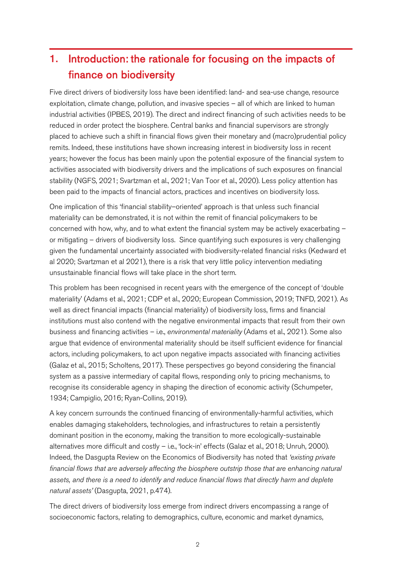## 1. Introduction: the rationale for focusing on the impacts of finance on biodiversity

Five direct drivers of biodiversity loss have been identified: land- and sea-use change, resource exploitation, climate change, pollution, and invasive species – all of which are linked to human industrial activities (IPBES, 2019). The direct and indirect financing of such activities needs to be reduced in order protect the biosphere. Central banks and financial supervisors are strongly placed to achieve such a shift in financial flows given their monetary and (macro)prudential policy remits. Indeed, these institutions have shown increasing interest in biodiversity loss in recent years; however the focus has been mainly upon the potential exposure of the financial system to activities associated with biodiversity drivers and the implications of such exposures on financial stability (NGFS, 2021; Svartzman et al., 2021; Van Toor et al., 2020). Less policy attention has been paid to the impacts of financial actors, practices and incentives on biodiversity loss.

One implication of this 'financial stability–oriented' approach is that unless such financial materiality can be demonstrated, it is not within the remit of financial policymakers to be concerned with how, why, and to what extent the financial system may be actively exacerbating – or mitigating – drivers of biodiversity loss. Since quantifying such exposures is very challenging given the fundamental uncertainty associated with biodiversity-related financial risks (Kedward et al 2020; Svartzman et al 2021), there is a risk that very little policy intervention mediating unsustainable financial flows will take place in the short term.

This problem has been recognised in recent years with the emergence of the concept of 'double materiality' (Adams et al., 2021; CDP et al., 2020; European Commission, 2019; TNFD, 2021). As well as direct financial impacts (financial materiality) of biodiversity loss, firms and financial institutions must also contend with the negative environmental impacts that result from their own business and financing activities – i.e., *environmental materiality* (Adams et al., 2021). Some also argue that evidence of environmental materiality should be itself sufficient evidence for financial actors, including policymakers, to act upon negative impacts associated with financing activities (Galaz et al., 2015; Scholtens, 2017). These perspectives go beyond considering the financial system as a passive intermediary of capital flows, responding only to pricing mechanisms, to recognise its considerable agency in shaping the direction of economic activity (Schumpeter, 1934; Campiglio, 2016; Ryan-Collins, 2019).

A key concern surrounds the continued financing of environmentally-harmful activities, which enables damaging stakeholders, technologies, and infrastructures to retain a persistently dominant position in the economy, making the transition to more ecologically-sustainable alternatives more difficult and costly – i.e., 'lock-in' effects (Galaz et al., 2018; Unruh, 2000). Indeed, the Dasgupta Review on the Economics of Biodiversity has noted that *'existing private financial flows that are adversely affecting the biosphere outstrip those that are enhancing natural assets, and there is a need to identify and reduce financial flows that directly harm and deplete natural assets'* (Dasgupta, 2021, p.474).

The direct drivers of biodiversity loss emerge from indirect drivers encompassing a range of socioeconomic factors, relating to demographics, culture, economic and market dynamics,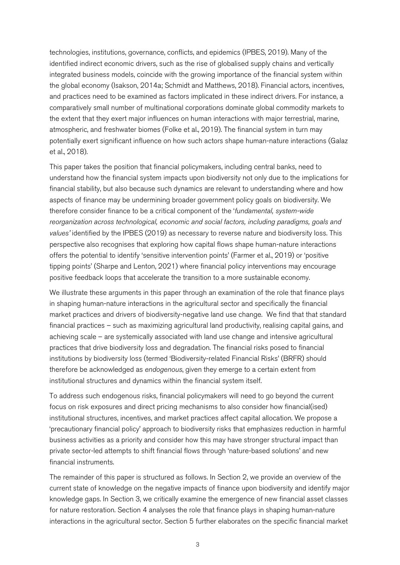technologies, institutions, governance, conflicts, and epidemics (IPBES, 2019). Many of the identified indirect economic drivers, such as the rise of globalised supply chains and vertically integrated business models, coincide with the growing importance of the financial system within the global economy (Isakson, 2014a; Schmidt and Matthews, 2018). Financial actors, incentives, and practices need to be examined as factors implicated in these indirect drivers. For instance, a comparatively small number of multinational corporations dominate global commodity markets to the extent that they exert major influences on human interactions with major terrestrial, marine, atmospheric, and freshwater biomes (Folke et al., 2019). The financial system in turn may potentially exert significant influence on how such actors shape human-nature interactions (Galaz et al., 2018).

This paper takes the position that financial policymakers, including central banks, need to understand how the financial system impacts upon biodiversity not only due to the implications for financial stability, but also because such dynamics are relevant to understanding where and how aspects of finance may be undermining broader government policy goals on biodiversity. We therefore consider finance to be a critical component of the '*fundamental, system-wide reorganization across technological, economic and social factors, including paradigms, goals and values'* identified by the IPBES (2019) as necessary to reverse nature and biodiversity loss. This perspective also recognises that exploring how capital flows shape human-nature interactions offers the potential to identify 'sensitive intervention points' (Farmer et al., 2019) or 'positive tipping points' (Sharpe and Lenton, 2021) where financial policy interventions may encourage positive feedback loops that accelerate the transition to a more sustainable economy.

We illustrate these arguments in this paper through an examination of the role that finance plays in shaping human-nature interactions in the agricultural sector and specifically the financial market practices and drivers of biodiversity-negative land use change. We find that that standard financial practices – such as maximizing agricultural land productivity, realising capital gains, and achieving scale – are systemically associated with land use change and intensive agricultural practices that drive biodiversity loss and degradation. The financial risks posed to financial institutions by biodiversity loss (termed 'Biodiversity-related Financial Risks' (BRFR) should therefore be acknowledged as *endogenous*, given they emerge to a certain extent from institutional structures and dynamics within the financial system itself.

To address such endogenous risks, financial policymakers will need to go beyond the current focus on risk exposures and direct pricing mechanisms to also consider how financial(ised) institutional structures, incentives, and market practices affect capital allocation. We propose a 'precautionary financial policy' approach to biodiversity risks that emphasizes reduction in harmful business activities as a priority and consider how this may have stronger structural impact than private sector-led attempts to shift financial flows through 'nature-based solutions' and new financial instruments.

The remainder of this paper is structured as follows. In Section 2, we provide an overview of the current state of knowledge on the negative impacts of finance upon biodiversity and identify major knowledge gaps. In Section 3, we critically examine the emergence of new financial asset classes for nature restoration. Section 4 analyses the role that finance plays in shaping human-nature interactions in the agricultural sector. Section 5 further elaborates on the specific financial market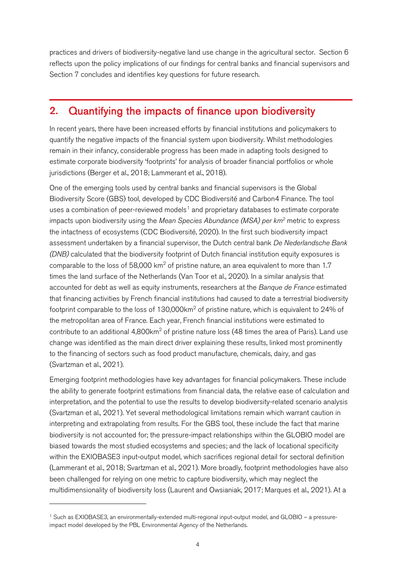practices and drivers of biodiversity-negative land use change in the agricultural sector. Section 6 reflects upon the policy implications of our findings for central banks and financial supervisors and Section 7 concludes and identifies key questions for future research.

## 2. Quantifying the impacts of finance upon biodiversity

In recent years, there have been increased efforts by financial institutions and policymakers to quantify the negative impacts of the financial system upon biodiversity. Whilst methodologies remain in their infancy, considerable progress has been made in adapting tools designed to estimate corporate biodiversity 'footprints' for analysis of broader financial portfolios or whole jurisdictions (Berger et al., 2018; Lammerant et al., 2018).

One of the emerging tools used by central banks and financial supervisors is the Global Biodiversity Score (GBS) tool, developed by CDC Biodiversité and Carbon4 Finance. The tool uses a combination of peer-reviewed models<sup>[1](#page-5-0)</sup> and proprietary databases to estimate corporate impacts upon biodiversity using the *Mean Species Abundance (MSA) per km2* metric to express the intactness of ecosystems (CDC Biodiversité, 2020). In the first such biodiversity impact assessment undertaken by a financial supervisor, the Dutch central bank *De Nederlandsche Bank (DNB)* calculated that the biodiversity footprint of Dutch financial institution equity exposures is comparable to the loss of 58,000 km<sup>2</sup> of pristine nature, an area equivalent to more than 1.7 times the land surface of the Netherlands (Van Toor et al., 2020). In a similar analysis that accounted for debt as well as equity instruments, researchers at the *Banque de France* estimated that financing activities by French financial institutions had caused to date a terrestrial biodiversity footprint comparable to the loss of 130,000km<sup>2</sup> of pristine nature, which is equivalent to 24% of the metropolitan area of France. Each year, French financial institutions were estimated to contribute to an additional  $4,800$ km<sup>2</sup> of pristine nature loss (48 times the area of Paris). Land use change was identified as the main direct driver explaining these results, linked most prominently to the financing of sectors such as food product manufacture, chemicals, dairy, and gas (Svartzman et al., 2021).

Emerging footprint methodologies have key advantages for financial policymakers. These include the ability to generate footprint estimations from financial data, the relative ease of calculation and interpretation, and the potential to use the results to develop biodiversity-related scenario analysis (Svartzman et al., 2021). Yet several methodological limitations remain which warrant caution in interpreting and extrapolating from results. For the GBS tool, these include the fact that marine biodiversity is not accounted for; the pressure-impact relationships within the GLOBIO model are biased towards the most studied ecosystems and species; and the lack of locational specificity within the EXIOBASE3 input-output model, which sacrifices regional detail for sectoral definition (Lammerant et al., 2018; Svartzman et al., 2021). More broadly, footprint methodologies have also been challenged for relying on one metric to capture biodiversity, which may neglect the multidimensionality of biodiversity loss (Laurent and Owsianiak, 2017; Marques et al., 2021). At a

<span id="page-5-0"></span><sup>1</sup> Such as EXIOBASE3, an environmentally-extended multi-regional input-output model, and GLOBIO – a pressureimpact model developed by the PBL Environmental Agency of the Netherlands.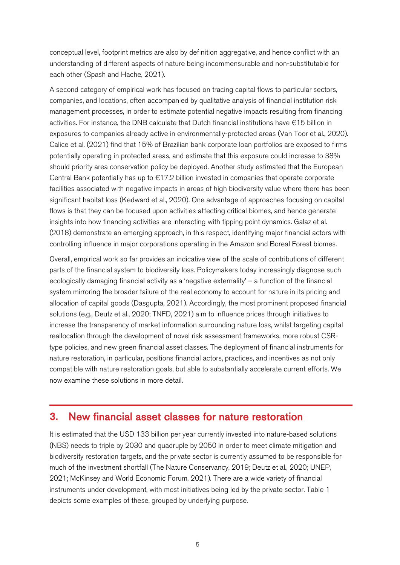conceptual level, footprint metrics are also by definition aggregative, and hence conflict with an understanding of different aspects of nature being incommensurable and non-substitutable for each other (Spash and Hache, 2021).

A second category of empirical work has focused on tracing capital flows to particular sectors, companies, and locations, often accompanied by qualitative analysis of financial institution risk management processes, in order to estimate potential negative impacts resulting from financing activities. For instance, the DNB calculate that Dutch financial institutions have €15 billion in exposures to companies already active in environmentally-protected areas (Van Toor et al., 2020). Calice et al. (2021) find that 15% of Brazilian bank corporate loan portfolios are exposed to firms potentially operating in protected areas, and estimate that this exposure could increase to 38% should priority area conservation policy be deployed. Another study estimated that the European Central Bank potentially has up to  $\epsilon$ 17.2 billion invested in companies that operate corporate facilities associated with negative impacts in areas of high biodiversity value where there has been significant habitat loss (Kedward et al., 2020). One advantage of approaches focusing on capital flows is that they can be focused upon activities affecting critical biomes, and hence generate insights into how financing activities are interacting with tipping point dynamics. Galaz et al. (2018) demonstrate an emerging approach, in this respect, identifying major financial actors with controlling influence in major corporations operating in the Amazon and Boreal Forest biomes.

Overall, empirical work so far provides an indicative view of the scale of contributions of different parts of the financial system to biodiversity loss. Policymakers today increasingly diagnose such ecologically damaging financial activity as a 'negative externality' – a function of the financial system mirroring the broader failure of the real economy to account for nature in its pricing and allocation of capital goods (Dasgupta, 2021). Accordingly, the most prominent proposed financial solutions (e.g., Deutz et al., 2020; TNFD, 2021) aim to influence prices through initiatives to increase the transparency of market information surrounding nature loss, whilst targeting capital reallocation through the development of novel risk assessment frameworks, more robust CSRtype policies, and new green financial asset classes. The deployment of financial instruments for nature restoration, in particular, positions financial actors, practices, and incentives as not only compatible with nature restoration goals, but able to substantially accelerate current efforts. We now examine these solutions in more detail.

## 3. New financial asset classes for nature restoration

It is estimated that the USD 133 billion per year currently invested into nature-based solutions (NBS) needs to triple by 2030 and quadruple by 2050 in order to meet climate mitigation and biodiversity restoration targets, and the private sector is currently assumed to be responsible for much of the investment shortfall (The Nature Conservancy, 2019; Deutz et al., 2020; UNEP, 2021; McKinsey and World Economic Forum, 2021). There are a wide variety of financial instruments under development, with most initiatives being led by the private sector. Table 1 depicts some examples of these, grouped by underlying purpose.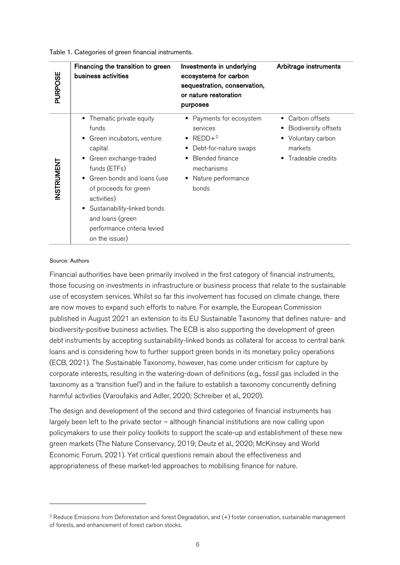| PURPOSE           | Financing the transition to green<br>business activities                                                                                                                                                                                                                                                             | Investments in underlying<br>ecosystems for carbon<br>sequestration, conservation,<br>or nature restoration<br>purposes                                            | Arbitrage instruments                                                                                              |
|-------------------|----------------------------------------------------------------------------------------------------------------------------------------------------------------------------------------------------------------------------------------------------------------------------------------------------------------------|--------------------------------------------------------------------------------------------------------------------------------------------------------------------|--------------------------------------------------------------------------------------------------------------------|
| <b>INSTRUMENT</b> | Thematic private equity<br>٠<br>funds<br>Green incubators, venture<br>٠<br>capital<br>Green exchange-traded<br>٠<br>funds (ETFs)<br>Green bonds and loans (use<br>٠<br>of proceeds for green<br>activities)<br>Sustainability-linked bonds<br>٠<br>and loans (green<br>performance criteria levied<br>on the issuer) | • Payments for ecosystem<br>services<br>$\cdot$ REDD+ <sup>2</sup><br>Debt-for-nature swaps<br><b>Blended finance</b><br>mechanisms<br>Nature performance<br>bonds | • Carbon offsets<br><b>Biodiversity offsets</b><br>٠<br>Voluntary carbon<br>Ξ<br>markets<br>Tradeable credits<br>П |

Table 1. Categories of green financial instruments.

#### Source: Authors

Financial authorities have been primarily involved in the first category of financial instruments, those focusing on investments in infrastructure or business process that relate to the sustainable use of ecosystem services. Whilst so far this involvement has focused on climate change, there are now moves to expand such efforts to nature. For example, the European Commission published in August 2021 an extension to its EU Sustainable Taxonomy that defines nature- and biodiversity-positive business activities. The ECB is also supporting the development of green debt instruments by accepting sustainability-linked bonds as collateral for access to central bank loans and is considering how to further support green bonds in its monetary policy operations (ECB, 2021). The Sustainable Taxonomy, however, has come under criticism for capture by corporate interests, resulting in the watering-down of definitions (e.g., fossil gas included in the taxonomy as a 'transition fuel') and in the failure to establish a taxonomy concurrently defining harmful activities (Varoufakis and Adler, 2020; Schreiber et al., 2020).

The design and development of the second and third categories of financial instruments has largely been left to the private sector – although financial institutions are now calling upon policymakers to use their policy toolkits to support the scale-up and establishment of these new green markets (The Nature Conservancy, 2019; Deutz et al., 2020; McKinsey and World Economic Forum, 2021). Yet critical questions remain about the effectiveness and appropriateness of these market-led approaches to mobilising finance for nature.

<span id="page-7-0"></span> $2$  Reduce Emissions from Deforestation and forest Degradation, and  $(+)$  foster conservation, sustainable management of forests, and enhancement of forest carbon stocks.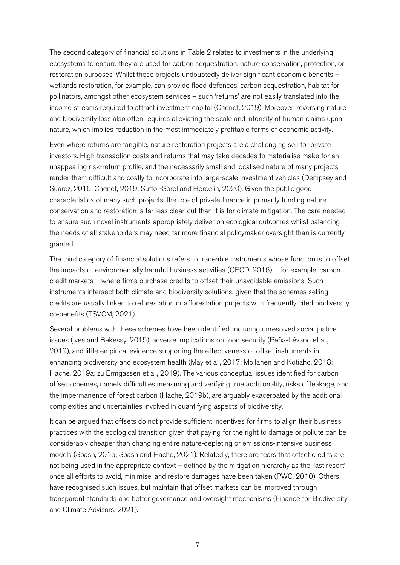The second category of financial solutions in Table 2 relates to investments in the underlying ecosystems to ensure they are used for carbon sequestration, nature conservation, protection, or restoration purposes. Whilst these projects undoubtedly deliver significant economic benefits – wetlands restoration, for example, can provide flood defences, carbon sequestration, habitat for pollinators, amongst other ecosystem services – such 'returns' are not easily translated into the income streams required to attract investment capital (Chenet, 2019). Moreover, reversing nature and biodiversity loss also often requires alleviating the scale and intensity of human claims upon nature, which implies reduction in the most immediately profitable forms of economic activity.

Even where returns are tangible, nature restoration projects are a challenging sell for private investors. High transaction costs and returns that may take decades to materialise make for an unappealing risk-return profile, and the necessarily small and localised nature of many projects render them difficult and costly to incorporate into large-scale investment vehicles (Dempsey and Suarez, 2016; Chenet, 2019; Suttor-Sorel and Hercelin, 2020). Given the public good characteristics of many such projects, the role of private finance in primarily funding nature conservation and restoration is far less clear-cut than it is for climate mitigation. The care needed to ensure such novel instruments appropriately deliver on ecological outcomes whilst balancing the needs of all stakeholders may need far more financial policymaker oversight than is currently granted.

The third category of financial solutions refers to tradeable instruments whose function is to offset the impacts of environmentally harmful business activities (OECD, 2016) – for example, carbon credit markets – where firms purchase credits to offset their unavoidable emissions. Such instruments intersect both climate and biodiversity solutions, given that the schemes selling credits are usually linked to reforestation or afforestation projects with frequently cited biodiversity co-benefits (TSVCM, 2021).

Several problems with these schemes have been identified, including unresolved social justice issues (Ives and Bekessy, 2015), adverse implications on food security (Peña-Lévano et al., 2019), and little empirical evidence supporting the effectiveness of offset instruments in enhancing biodiversity and ecosystem health (May et al., 2017; Moilanen and Kotiaho, 2018; Hache, 2019a; zu Ermgassen et al., 2019). The various conceptual issues identified for carbon offset schemes, namely difficulties measuring and verifying true additionality, risks of leakage, and the impermanence of forest carbon (Hache, 2019b), are arguably exacerbated by the additional complexities and uncertainties involved in quantifying aspects of biodiversity.

It can be argued that offsets do not provide sufficient incentives for firms to align their business practices with the ecological transition given that paying for the right to damage or pollute can be considerably cheaper than changing entire nature-depleting or emissions-intensive business models (Spash, 2015; Spash and Hache, 2021). Relatedly, there are fears that offset credits are not being used in the appropriate context – defined by the mitigation hierarchy as the 'last resort' once all efforts to avoid, minimise, and restore damages have been taken (PWC, 2010). Others have recognised such issues, but maintain that offset markets can be improved through transparent standards and better governance and oversight mechanisms (Finance for Biodiversity and Climate Advisors, 2021).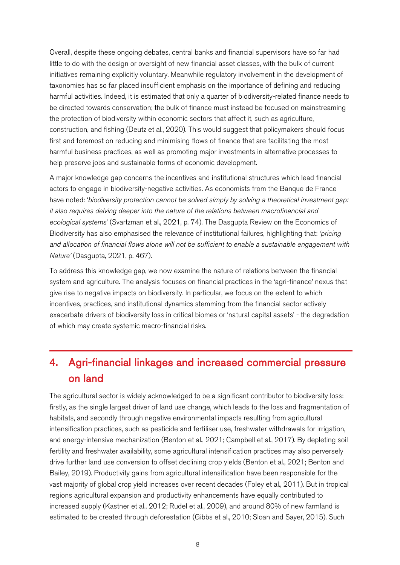Overall, despite these ongoing debates, central banks and financial supervisors have so far had little to do with the design or oversight of new financial asset classes, with the bulk of current initiatives remaining explicitly voluntary. Meanwhile regulatory involvement in the development of taxonomies has so far placed insufficient emphasis on the importance of defining and reducing harmful activities. Indeed, it is estimated that only a quarter of biodiversity-related finance needs to be directed towards conservation; the bulk of finance must instead be focused on mainstreaming the protection of biodiversity within economic sectors that affect it, such as agriculture, construction, and fishing (Deutz et al., 2020). This would suggest that policymakers should focus first and foremost on reducing and minimising flows of finance that are facilitating the most harmful business practices, as well as promoting major investments in alternative processes to help preserve jobs and sustainable forms of economic development.

A major knowledge gap concerns the incentives and institutional structures which lead financial actors to engage in biodiversity-negative activities. As economists from the Banque de France have noted: '*biodiversity protection cannot be solved simply by solving a theoretical investment gap: it also requires delving deeper into the nature of the relations between macrofinancial and ecological systems*' (Svartzman et al., 2021, p. 74). The Dasgupta Review on the Economics of Biodiversity has also emphasised the relevance of institutional failures, highlighting that: *'pricing and allocation of financial flows alone will not be sufficient to enable a sustainable engagement with Nature'* (Dasgupta, 2021, p. 467).

To address this knowledge gap, we now examine the nature of relations between the financial system and agriculture. The analysis focuses on financial practices in the 'agri-finance' nexus that give rise to negative impacts on biodiversity. In particular, we focus on the extent to which incentives, practices, and institutional dynamics stemming from the financial sector actively exacerbate drivers of biodiversity loss in critical biomes or 'natural capital assets' - the degradation of which may create systemic macro-financial risks.

## 4. Agri-financial linkages and increased commercial pressure on land

The agricultural sector is widely acknowledged to be a significant contributor to biodiversity loss: firstly, as the single largest driver of land use change, which leads to the loss and fragmentation of habitats, and secondly through negative environmental impacts resulting from agricultural intensification practices, such as pesticide and fertiliser use, freshwater withdrawals for irrigation, and energy-intensive mechanization (Benton et al., 2021; Campbell et al., 2017). By depleting soil fertility and freshwater availability, some agricultural intensification practices may also perversely drive further land use conversion to offset declining crop yields (Benton et al., 2021; Benton and Bailey, 2019). Productivity gains from agricultural intensification have been responsible for the vast majority of global crop yield increases over recent decades (Foley et al., 2011). But in tropical regions agricultural expansion and productivity enhancements have equally contributed to increased supply (Kastner et al., 2012; Rudel et al., 2009), and around 80% of new farmland is estimated to be created through deforestation (Gibbs et al., 2010; Sloan and Sayer, 2015). Such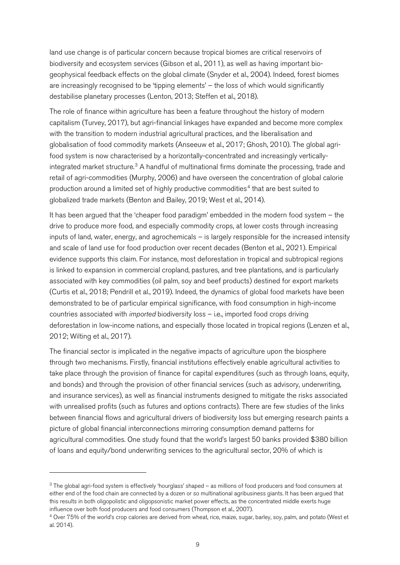land use change is of particular concern because tropical biomes are critical reservoirs of biodiversity and ecosystem services (Gibson et al., 2011), as well as having important biogeophysical feedback effects on the global climate (Snyder et al., 2004). Indeed, forest biomes are increasingly recognised to be 'tipping elements' – the loss of which would significantly destabilise planetary processes (Lenton, 2013; Steffen et al., 2018).

The role of finance within agriculture has been a feature throughout the history of modern capitalism (Turvey, 2017), but agri-financial linkages have expanded and become more complex with the transition to modern industrial agricultural practices, and the liberalisation and globalisation of food commodity markets (Anseeuw et al., 2017; Ghosh, 2010). The global agrifood system is now characterised by a horizontally-concentrated and increasingly vertically-integrated market structure.<sup>[3](#page-10-0)</sup> A handful of multinational firms dominate the processing, trade and retail of agri-commodities (Murphy, 2006) and have overseen the concentration of global calorie production around a limited set of highly productive commodities<sup>[4](#page-10-1)</sup> that are best suited to globalized trade markets (Benton and Bailey, 2019; West et al., 2014).

It has been argued that the 'cheaper food paradigm' embedded in the modern food system – the drive to produce more food, and especially commodity crops, at lower costs through increasing inputs of land, water, energy, and agrochemicals – is largely responsible for the increased intensity and scale of land use for food production over recent decades (Benton et al., 2021). Empirical evidence supports this claim. For instance, most deforestation in tropical and subtropical regions is linked to expansion in commercial cropland, pastures, and tree plantations, and is particularly associated with key commodities (oil palm, soy and beef products) destined for export markets (Curtis et al., 2018; Pendrill et al., 2019). Indeed, the dynamics of global food markets have been demonstrated to be of particular empirical significance, with food consumption in high-income countries associated with *imported* biodiversity loss – i.e., imported food crops driving deforestation in low-income nations, and especially those located in tropical regions (Lenzen et al., 2012; Wilting et al., 2017).

The financial sector is implicated in the negative impacts of agriculture upon the biosphere through two mechanisms. Firstly, financial institutions effectively enable agricultural activities to take place through the provision of finance for capital expenditures (such as through loans, equity, and bonds) and through the provision of other financial services (such as advisory, underwriting, and insurance services), as well as financial instruments designed to mitigate the risks associated with unrealised profits (such as futures and options contracts). There are few studies of the links between financial flows and agricultural drivers of biodiversity loss but emerging research paints a picture of global financial interconnections mirroring consumption demand patterns for agricultural commodities. One study found that the world's largest 50 banks provided \$380 billion of loans and equity/bond underwriting services to the agricultural sector, 20% of which is

<span id="page-10-0"></span><sup>3</sup> The global agri-food system is effectively 'hourglass' shaped – as millions of food producers and food consumers at either end of the food chain are connected by a dozen or so multinational agribusiness giants. It has been argued that this results in both oligopolistic and oligopsonistic market power effects, as the concentrated middle exerts huge influence over both food producers and food consumers (Thompson et al., 2007).

<span id="page-10-1"></span><sup>4</sup> Over 75% of the world's crop calories are derived from wheat, rice, maize, sugar, barley, soy, palm, and potato (West et al. 2014).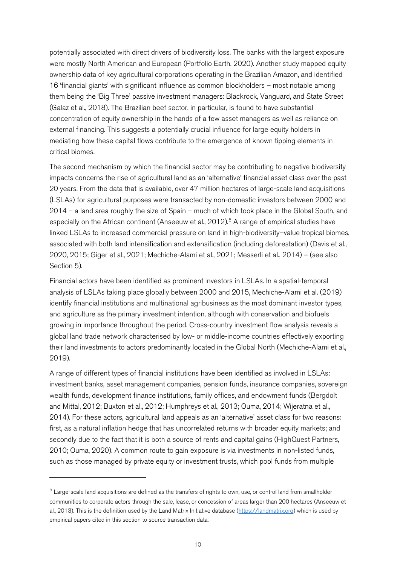potentially associated with direct drivers of biodiversity loss. The banks with the largest exposure were mostly North American and European (Portfolio Earth, 2020). Another study mapped equity ownership data of key agricultural corporations operating in the Brazilian Amazon, and identified 16 'financial giants' with significant influence as common blockholders – most notable among them being the 'Big Three' passive investment managers: Blackrock, Vanguard, and State Street (Galaz et al., 2018). The Brazilian beef sector, in particular, is found to have substantial concentration of equity ownership in the hands of a few asset managers as well as reliance on external financing. This suggests a potentially crucial influence for large equity holders in mediating how these capital flows contribute to the emergence of known tipping elements in critical biomes.

The second mechanism by which the financial sector may be contributing to negative biodiversity impacts concerns the rise of agricultural land as an 'alternative' financial asset class over the past 20 years. From the data that is available, over 47 million hectares of large-scale land acquisitions (LSLAs) for agricultural purposes were transacted by non-domestic investors between 2000 and 2014 – a land area roughly the size of Spain – much of which took place in the Global South, and especially on the African continent (Anseeuw et al.,  $2012$ ).<sup>5</sup> A range of empirical studies have linked LSLAs to increased commercial pressure on land in high-biodiversity–value tropical biomes, associated with both land intensification and extensification (including deforestation) (Davis et al., 2020, 2015; Giger et al., 2021; Mechiche-Alami et al., 2021; Messerli et al., 2014) – (see also Section 5).

Financial actors have been identified as prominent investors in LSLAs. In a spatial-temporal analysis of LSLAs taking place globally between 2000 and 2015, Mechiche-Alami et al. (2019) identify financial institutions and multinational agribusiness as the most dominant investor types, and agriculture as the primary investment intention, although with conservation and biofuels growing in importance throughout the period. Cross-country investment flow analysis reveals a global land trade network characterised by low- or middle-income countries effectively exporting their land investments to actors predominantly located in the Global North (Mechiche-Alami et al., 2019).

A range of different types of financial institutions have been identified as involved in LSLAs: investment banks, asset management companies, pension funds, insurance companies, sovereign wealth funds, development finance institutions, family offices, and endowment funds (Bergdolt and Mittal, 2012; Buxton et al., 2012; Humphreys et al., 2013; Ouma, 2014; Wijeratna et al., 2014). For these actors, agricultural land appeals as an 'alternative' asset class for two reasons: first, as a natural inflation hedge that has uncorrelated returns with broader equity markets; and secondly due to the fact that it is both a source of rents and capital gains (HighQuest Partners, 2010; Ouma, 2020). A common route to gain exposure is via investments in non-listed funds, such as those managed by private equity or investment trusts, which pool funds from multiple

<span id="page-11-0"></span> $5$  Large-scale land acquisitions are defined as the transfers of rights to own, use, or control land from smallholder communities to corporate actors through the sale, lease, or concession of areas larger than 200 hectares (Anseeuw et al., 2013). This is the definition used by the Land Matrix Initiative database [\(https://landmatrix.org\)](https://landmatrix.org/) which is used by empirical papers cited in this section to source transaction data.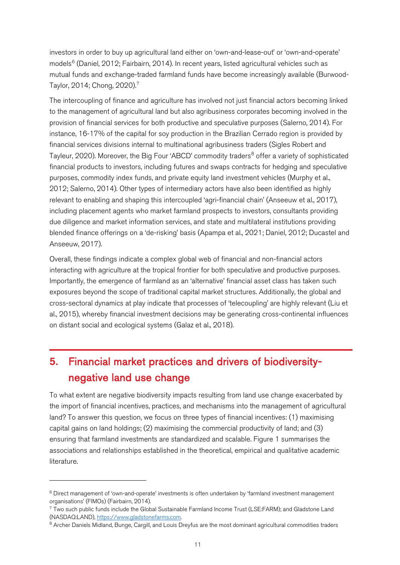investors in order to buy up agricultural land either on 'own-and-lease-out' or 'own-and-operate' models<sup>[6](#page-12-0)</sup> (Daniel, 2012; Fairbairn, 2014). In recent years, listed agricultural vehicles such as mutual funds and exchange-traded farmland funds have become increasingly available (Burwood-Taylor, 2014; Chong, 2020).[7](#page-12-1) 

The intercoupling of finance and agriculture has involved not just financial actors becoming linked to the management of agricultural land but also agribusiness corporates becoming involved in the provision of financial services for both productive and speculative purposes (Salerno, 2014). For instance, 16-17% of the capital for soy production in the Brazilian Cerrado region is provided by financial services divisions internal to multinational agribusiness traders (Sigles Robert and Tayleur, 2020). Moreover, the Big Four 'ABCD' commodity traders<sup>[8](#page-12-2)</sup> offer a variety of sophisticated financial products to investors, including futures and swaps contracts for hedging and speculative purposes, commodity index funds, and private equity land investment vehicles (Murphy et al., 2012; Salerno, 2014). Other types of intermediary actors have also been identified as highly relevant to enabling and shaping this intercoupled 'agri-financial chain' (Anseeuw et al., 2017), including placement agents who market farmland prospects to investors, consultants providing due diligence and market information services, and state and multilateral institutions providing blended finance offerings on a 'de-risking' basis (Apampa et al., 2021; Daniel, 2012; Ducastel and Anseeuw, 2017).

Overall, these findings indicate a complex global web of financial and non-financial actors interacting with agriculture at the tropical frontier for both speculative and productive purposes. Importantly, the emergence of farmland as an 'alternative' financial asset class has taken such exposures beyond the scope of traditional capital market structures. Additionally, the global and cross-sectoral dynamics at play indicate that processes of 'telecoupling' are highly relevant (Liu et al., 2015), whereby financial investment decisions may be generating cross-continental influences on distant social and ecological systems (Galaz et al., 2018).

## 5. Financial market practices and drivers of biodiversitynegative land use change

To what extent are negative biodiversity impacts resulting from land use change exacerbated by the import of financial incentives, practices, and mechanisms into the management of agricultural land? To answer this question, we focus on three types of financial incentives: (1) maximising capital gains on land holdings; (2) maximising the commercial productivity of land; and (3) ensuring that farmland investments are standardized and scalable. Figure 1 summarises the associations and relationships established in the theoretical, empirical and qualitative academic literature.

<span id="page-12-0"></span><sup>6</sup> Direct management of 'own-and-operate' investments is often undertaken by 'farmland investment management organisations' (FIMOs) (Fairbairn, 2014).<br><sup>7</sup> Two such public funds include the Global Sustainable Farmland Income Trust (LSE:FARM); and Gladstone Land

<span id="page-12-1"></span><sup>(</sup>NASDAQ:LAND), https://www.gladstonefarms.com.<br><sup>8</sup> Archer Daniels Midland, Bunge, Cargill, and Louis Dreyfus are the most dominant agricultural commodities traders

<span id="page-12-2"></span>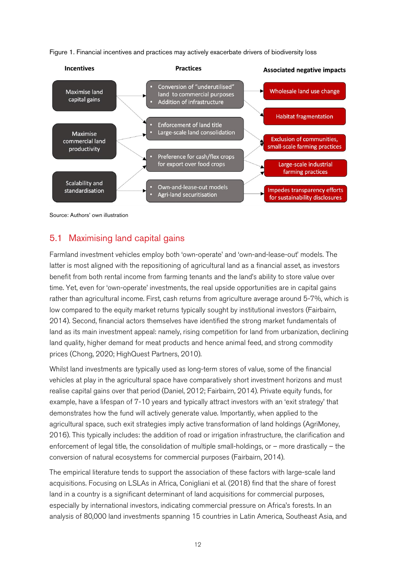Figure 1. Financial incentives and practices may actively exacerbate drivers of biodiversity loss



Source: Authors' own illustration

## 5.1 Maximising land capital gains

Farmland investment vehicles employ both 'own-operate' and 'own-and-lease-out' models. The latter is most aligned with the repositioning of agricultural land as a financial asset, as investors benefit from both rental income from farming tenants and the land's ability to store value over time. Yet, even for 'own-operate' investments, the real upside opportunities are in capital gains rather than agricultural income. First, cash returns from agriculture average around 5-7%, which is low compared to the equity market returns typically sought by institutional investors (Fairbairn, 2014). Second, financial actors themselves have identified the strong market fundamentals of land as its main investment appeal: namely, rising competition for land from urbanization, declining land quality, higher demand for meat products and hence animal feed, and strong commodity prices (Chong, 2020; HighQuest Partners, 2010).

Whilst land investments are typically used as long-term stores of value, some of the financial vehicles at play in the agricultural space have comparatively short investment horizons and must realise capital gains over that period (Daniel, 2012; Fairbairn, 2014). Private equity funds, for example, have a lifespan of 7-10 years and typically attract investors with an 'exit strategy' that demonstrates how the fund will actively generate value. Importantly, when applied to the agricultural space, such exit strategies imply active transformation of land holdings (AgriMoney, 2016). This typically includes: the addition of road or irrigation infrastructure, the clarification and enforcement of legal title, the consolidation of multiple small-holdings, or – more drastically – the conversion of natural ecosystems for commercial purposes (Fairbairn, 2014).

The empirical literature tends to support the association of these factors with large-scale land acquisitions. Focusing on LSLAs in Africa, Conigliani et al. (2018) find that the share of forest land in a country is a significant determinant of land acquisitions for commercial purposes, especially by international investors, indicating commercial pressure on Africa's forests. In an analysis of 80,000 land investments spanning 15 countries in Latin America, Southeast Asia, and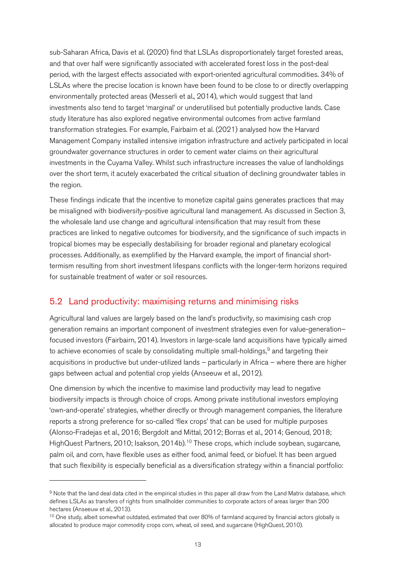sub-Saharan Africa, Davis et al. (2020) find that LSLAs disproportionately target forested areas, and that over half were significantly associated with accelerated forest loss in the post-deal period, with the largest effects associated with export-oriented agricultural commodities. 34% of LSLAs where the precise location is known have been found to be close to or directly overlapping environmentally protected areas (Messerli et al., 2014), which would suggest that land investments also tend to target 'marginal' or underutilised but potentially productive lands. Case study literature has also explored negative environmental outcomes from active farmland transformation strategies. For example, Fairbairn et al. (2021) analysed how the Harvard Management Company installed intensive irrigation infrastructure and actively participated in local groundwater governance structures in order to cement water claims on their agricultural investments in the Cuyama Valley. Whilst such infrastructure increases the value of landholdings over the short term, it acutely exacerbated the critical situation of declining groundwater tables in the region.

These findings indicate that the incentive to monetize capital gains generates practices that may be misaligned with biodiversity-positive agricultural land management. As discussed in Section 3, the wholesale land use change and agricultural intensification that may result from these practices are linked to negative outcomes for biodiversity, and the significance of such impacts in tropical biomes may be especially destabilising for broader regional and planetary ecological processes. Additionally, as exemplified by the Harvard example, the import of financial shorttermism resulting from short investment lifespans conflicts with the longer-term horizons required for sustainable treatment of water or soil resources.

## 5.2 Land productivity: maximising returns and minimising risks

Agricultural land values are largely based on the land's productivity, so maximising cash crop generation remains an important component of investment strategies even for value-generation– focused investors (Fairbairn, 2014). Investors in large-scale land acquisitions have typically aimed to achieve economies of scale by consolidating multiple small-holdings,  $9$  and targeting their acquisitions in productive but under-utilized lands – particularly in Africa – where there are higher gaps between actual and potential crop yields (Anseeuw et al., 2012).

One dimension by which the incentive to maximise land productivity may lead to negative biodiversity impacts is through choice of crops. Among private institutional investors employing 'own-and-operate' strategies, whether directly or through management companies, the literature reports a strong preference for so-called 'flex crops' that can be used for multiple purposes (Alonso-Fradejas et al., 2016; Bergdolt and Mittal, 2012; Borras et al., 2014; Genoud, 2018; HighQuest Partners, 20[10](#page-14-1); Isakson, 2014b).<sup>10</sup> These crops, which include soybean, sugarcane, palm oil, and corn, have flexible uses as either food, animal feed, or biofuel. It has been argued that such flexibility is especially beneficial as a diversification strategy within a financial portfolio:

<span id="page-14-0"></span><sup>9</sup> Note that the land deal data cited in the empirical studies in this paper all draw from the Land Matrix database, which defines LSLAs as transfers of rights from smallholder communities to corporate actors of areas larger than 200 hectares (Anseeuw et al., 2013).

<span id="page-14-1"></span><sup>&</sup>lt;sup>10</sup> One study, albeit somewhat outdated, estimated that over 80% of farmland acquired by financial actors globally is allocated to produce major commodity crops corn, wheat, oil seed, and sugarcane (HighQuest, 2010).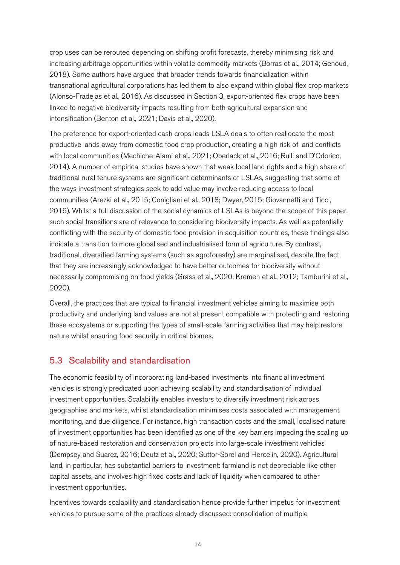crop uses can be rerouted depending on shifting profit forecasts, thereby minimising risk and increasing arbitrage opportunities within volatile commodity markets (Borras et al., 2014; Genoud, 2018). Some authors have argued that broader trends towards financialization within transnational agricultural corporations has led them to also expand within global flex crop markets (Alonso-Fradejas et al., 2016). As discussed in Section 3, export-oriented flex crops have been linked to negative biodiversity impacts resulting from both agricultural expansion and intensification (Benton et al., 2021; Davis et al., 2020).

The preference for export-oriented cash crops leads LSLA deals to often reallocate the most productive lands away from domestic food crop production, creating a high risk of land conflicts with local communities (Mechiche-Alami et al., 2021; Oberlack et al., 2016; Rulli and D'Odorico, 2014). A number of empirical studies have shown that weak local land rights and a high share of traditional rural tenure systems are significant determinants of LSLAs, suggesting that some of the ways investment strategies seek to add value may involve reducing access to local communities (Arezki et al., 2015; Conigliani et al., 2018; Dwyer, 2015; Giovannetti and Ticci, 2016). Whilst a full discussion of the social dynamics of LSLAs is beyond the scope of this paper, such social transitions are of relevance to considering biodiversity impacts. As well as potentially conflicting with the security of domestic food provision in acquisition countries, these findings also indicate a transition to more globalised and industrialised form of agriculture. By contrast, traditional, diversified farming systems (such as agroforestry) are marginalised, despite the fact that they are increasingly acknowledged to have better outcomes for biodiversity without necessarily compromising on food yields (Grass et al., 2020; Kremen et al., 2012; Tamburini et al., 2020).

Overall, the practices that are typical to financial investment vehicles aiming to maximise both productivity and underlying land values are not at present compatible with protecting and restoring these ecosystems or supporting the types of small-scale farming activities that may help restore nature whilst ensuring food security in critical biomes.

## 5.3 Scalability and standardisation

The economic feasibility of incorporating land-based investments into financial investment vehicles is strongly predicated upon achieving scalability and standardisation of individual investment opportunities. Scalability enables investors to diversify investment risk across geographies and markets, whilst standardisation minimises costs associated with management, monitoring, and due diligence. For instance, high transaction costs and the small, localised nature of investment opportunities has been identified as one of the key barriers impeding the scaling up of nature-based restoration and conservation projects into large-scale investment vehicles (Dempsey and Suarez, 2016; Deutz et al., 2020; Suttor-Sorel and Hercelin, 2020). Agricultural land, in particular, has substantial barriers to investment: farmland is not depreciable like other capital assets, and involves high fixed costs and lack of liquidity when compared to other investment opportunities.

Incentives towards scalability and standardisation hence provide further impetus for investment vehicles to pursue some of the practices already discussed: consolidation of multiple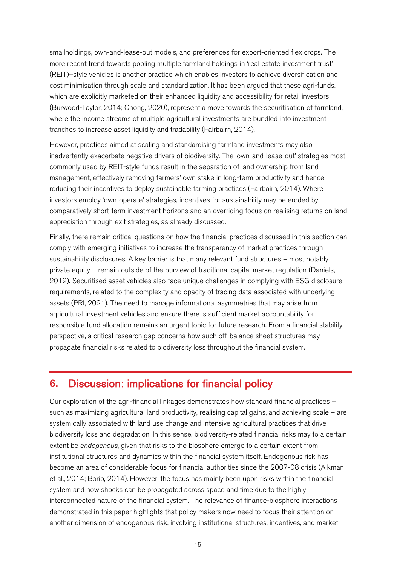smallholdings, own-and-lease-out models, and preferences for export-oriented flex crops. The more recent trend towards pooling multiple farmland holdings in 'real estate investment trust' (REIT)–style vehicles is another practice which enables investors to achieve diversification and cost minimisation through scale and standardization. It has been argued that these agri-funds, which are explicitly marketed on their enhanced liquidity and accessibility for retail investors (Burwood-Taylor, 2014; Chong, 2020), represent a move towards the securitisation of farmland, where the income streams of multiple agricultural investments are bundled into investment tranches to increase asset liquidity and tradability (Fairbairn, 2014).

However, practices aimed at scaling and standardising farmland investments may also inadvertently exacerbate negative drivers of biodiversity. The 'own-and-lease-out' strategies most commonly used by REIT-style funds result in the separation of land ownership from land management, effectively removing farmers' own stake in long-term productivity and hence reducing their incentives to deploy sustainable farming practices (Fairbairn, 2014). Where investors employ 'own-operate' strategies, incentives for sustainability may be eroded by comparatively short-term investment horizons and an overriding focus on realising returns on land appreciation through exit strategies, as already discussed.

Finally, there remain critical questions on how the financial practices discussed in this section can comply with emerging initiatives to increase the transparency of market practices through sustainability disclosures. A key barrier is that many relevant fund structures – most notably private equity – remain outside of the purview of traditional capital market regulation (Daniels, 2012). Securitised asset vehicles also face unique challenges in complying with ESG disclosure requirements, related to the complexity and opacity of tracing data associated with underlying assets (PRI, 2021). The need to manage informational asymmetries that may arise from agricultural investment vehicles and ensure there is sufficient market accountability for responsible fund allocation remains an urgent topic for future research. From a financial stability perspective, a critical research gap concerns how such off-balance sheet structures may propagate financial risks related to biodiversity loss throughout the financial system.

## 6. Discussion: implications for financial policy

Our exploration of the agri-financial linkages demonstrates how standard financial practices – such as maximizing agricultural land productivity, realising capital gains, and achieving scale - are systemically associated with land use change and intensive agricultural practices that drive biodiversity loss and degradation. In this sense, biodiversity-related financial risks may to a certain extent be *endogenous*, given that risks to the biosphere emerge to a certain extent from institutional structures and dynamics within the financial system itself. Endogenous risk has become an area of considerable focus for financial authorities since the 2007-08 crisis (Aikman et al., 2014; Borio, 2014). However, the focus has mainly been upon risks within the financial system and how shocks can be propagated across space and time due to the highly interconnected nature of the financial system. The relevance of finance-biosphere interactions demonstrated in this paper highlights that policy makers now need to focus their attention on another dimension of endogenous risk, involving institutional structures, incentives, and market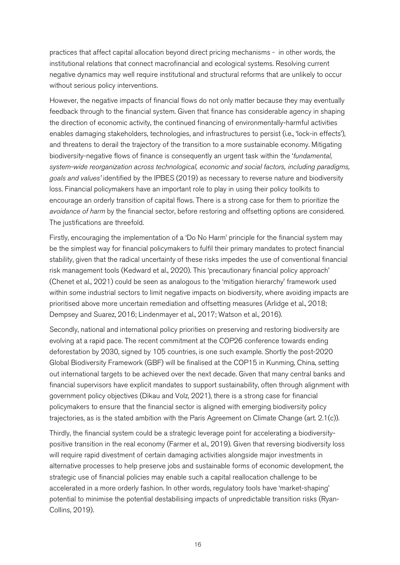practices that affect capital allocation beyond direct pricing mechanisms - in other words, the institutional relations that connect macrofinancial and ecological systems. Resolving current negative dynamics may well require institutional and structural reforms that are unlikely to occur without serious policy interventions.

However, the negative impacts of financial flows do not only matter because they may eventually feedback through to the financial system. Given that finance has considerable agency in shaping the direction of economic activity, the continued financing of environmentally-harmful activities enables damaging stakeholders, technologies, and infrastructures to persist (i.e., 'lock-in effects'), and threatens to derail the trajectory of the transition to a more sustainable economy. Mitigating biodiversity-negative flows of finance is consequently an urgent task within the '*fundamental, system-wide reorganization across technological, economic and social factors, including paradigms, goals and values'* identified by the IPBES (2019) as necessary to reverse nature and biodiversity loss. Financial policymakers have an important role to play in using their policy toolkits to encourage an orderly transition of capital flows. There is a strong case for them to prioritize the *avoidance of harm* by the financial sector, before restoring and offsetting options are considered. The justifications are threefold.

Firstly, encouraging the implementation of a 'Do No Harm' principle for the financial system may be the simplest way for financial policymakers to fulfil their primary mandates to protect financial stability, given that the radical uncertainty of these risks impedes the use of conventional financial risk management tools (Kedward et al., 2020). This 'precautionary financial policy approach' (Chenet et al., 2021) could be seen as analogous to the 'mitigation hierarchy' framework used within some industrial sectors to limit negative impacts on biodiversity, where avoiding impacts are prioritised above more uncertain remediation and offsetting measures (Arlidge et al., 2018; Dempsey and Suarez, 2016; Lindenmayer et al., 2017; Watson et al., 2016).

Secondly, national and international policy priorities on preserving and restoring biodiversity are evolving at a rapid pace. The recent commitment at the COP26 conference towards ending deforestation by 2030, signed by 105 countries, is one such example. Shortly the post-2020 Global Biodiversity Framework (GBF) will be finalised at the COP15 in Kunming, China, setting out international targets to be achieved over the next decade. Given that many central banks and financial supervisors have explicit mandates to support sustainability, often through alignment with government policy objectives (Dikau and Volz, 2021), there is a strong case for financial policymakers to ensure that the financial sector is aligned with emerging biodiversity policy trajectories, as is the stated ambition with the Paris Agreement on Climate Change (art. 2.1(c)).

Thirdly, the financial system could be a strategic leverage point for accelerating a biodiversitypositive transition in the real economy (Farmer et al., 2019). Given that reversing biodiversity loss will require rapid divestment of certain damaging activities alongside major investments in alternative processes to help preserve jobs and sustainable forms of economic development, the strategic use of financial policies may enable such a capital reallocation challenge to be accelerated in a more orderly fashion. In other words, regulatory tools have 'market-shaping' potential to minimise the potential destabilising impacts of unpredictable transition risks (Ryan-Collins, 2019).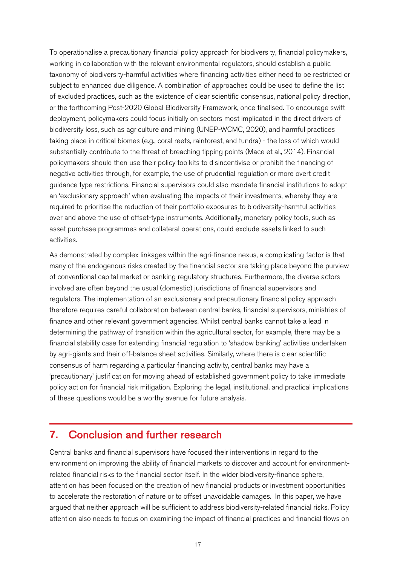To operationalise a precautionary financial policy approach for biodiversity, financial policymakers, working in collaboration with the relevant environmental regulators, should establish a public taxonomy of biodiversity-harmful activities where financing activities either need to be restricted or subject to enhanced due diligence. A combination of approaches could be used to define the list of excluded practices, such as the existence of clear scientific consensus, national policy direction, or the forthcoming Post-2020 Global Biodiversity Framework, once finalised. To encourage swift deployment, policymakers could focus initially on sectors most implicated in the direct drivers of biodiversity loss, such as agriculture and mining (UNEP-WCMC, 2020), and harmful practices taking place in critical biomes (e.g., coral reefs, rainforest, and tundra) - the loss of which would substantially contribute to the threat of breaching tipping points (Mace et al., 2014). Financial policymakers should then use their policy toolkits to disincentivise or prohibit the financing of negative activities through, for example, the use of prudential regulation or more overt credit guidance type restrictions. Financial supervisors could also mandate financial institutions to adopt an 'exclusionary approach' when evaluating the impacts of their investments, whereby they are required to prioritise the reduction of their portfolio exposures to biodiversity-harmful activities over and above the use of offset-type instruments. Additionally, monetary policy tools, such as asset purchase programmes and collateral operations, could exclude assets linked to such activities.

As demonstrated by complex linkages within the agri-finance nexus, a complicating factor is that many of the endogenous risks created by the financial sector are taking place beyond the purview of conventional capital market or banking regulatory structures. Furthermore, the diverse actors involved are often beyond the usual (domestic) jurisdictions of financial supervisors and regulators. The implementation of an exclusionary and precautionary financial policy approach therefore requires careful collaboration between central banks, financial supervisors, ministries of finance and other relevant government agencies. Whilst central banks cannot take a lead in determining the pathway of transition within the agricultural sector, for example, there may be a financial stability case for extending financial regulation to 'shadow banking' activities undertaken by agri-giants and their off-balance sheet activities. Similarly, where there is clear scientific consensus of harm regarding a particular financing activity, central banks may have a 'precautionary' justification for moving ahead of established government policy to take immediate policy action for financial risk mitigation. Exploring the legal, institutional, and practical implications of these questions would be a worthy avenue for future analysis.

## 7. Conclusion and further research

Central banks and financial supervisors have focused their interventions in regard to the environment on improving the ability of financial markets to discover and account for environmentrelated financial risks to the financial sector itself. In the wider biodiversity-finance sphere, attention has been focused on the creation of new financial products or investment opportunities to accelerate the restoration of nature or to offset unavoidable damages. In this paper, we have argued that neither approach will be sufficient to address biodiversity-related financial risks. Policy attention also needs to focus on examining the impact of financial practices and financial flows on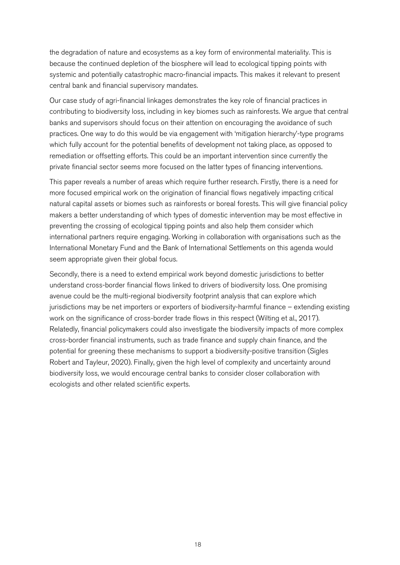the degradation of nature and ecosystems as a key form of environmental materiality. This is because the continued depletion of the biosphere will lead to ecological tipping points with systemic and potentially catastrophic macro-financial impacts. This makes it relevant to present central bank and financial supervisory mandates.

Our case study of agri-financial linkages demonstrates the key role of financial practices in contributing to biodiversity loss, including in key biomes such as rainforests. We argue that central banks and supervisors should focus on their attention on encouraging the avoidance of such practices. One way to do this would be via engagement with 'mitigation hierarchy'-type programs which fully account for the potential benefits of development not taking place, as opposed to remediation or offsetting efforts. This could be an important intervention since currently the private financial sector seems more focused on the latter types of financing interventions.

This paper reveals a number of areas which require further research. Firstly, there is a need for more focused empirical work on the origination of financial flows negatively impacting critical natural capital assets or biomes such as rainforests or boreal forests. This will give financial policy makers a better understanding of which types of domestic intervention may be most effective in preventing the crossing of ecological tipping points and also help them consider which international partners require engaging. Working in collaboration with organisations such as the International Monetary Fund and the Bank of International Settlements on this agenda would seem appropriate given their global focus.

Secondly, there is a need to extend empirical work beyond domestic jurisdictions to better understand cross-border financial flows linked to drivers of biodiversity loss. One promising avenue could be the multi-regional biodiversity footprint analysis that can explore which jurisdictions may be net importers or exporters of biodiversity-harmful finance – extending existing work on the significance of cross-border trade flows in this respect (Wilting et al., 2017). Relatedly, financial policymakers could also investigate the biodiversity impacts of more complex cross-border financial instruments, such as trade finance and supply chain finance, and the potential for greening these mechanisms to support a biodiversity-positive transition (Sigles Robert and Tayleur, 2020). Finally, given the high level of complexity and uncertainty around biodiversity loss, we would encourage central banks to consider closer collaboration with ecologists and other related scientific experts.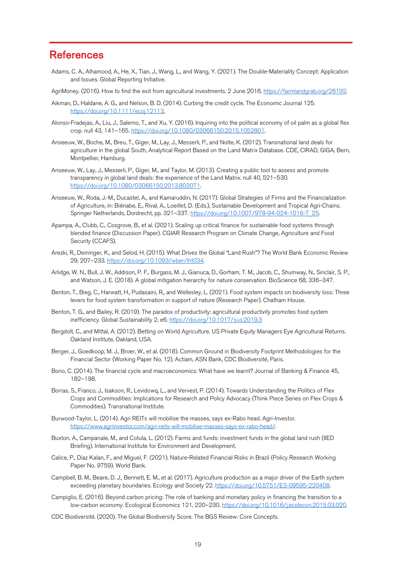## **References**

- Adams, C. A., Alhamood, A., He, X., Tian, J., Wang, L., and Wang, Y. (2021). The Double-Materiality Concept: Application and Issues. Global Reporting Initiative.
- AgriMoney. (2016). How to find the exit from agricultural investments. 2 June 2016. https://farmlandgrab.org/26192.
- Aikman, D., Haldane, A. G., and Nelson, B. D. (2014). Curbing the credit cycle. The Economic Journal 125. [https://doi.org/10.1111/ecoj.12113,](https://doi.org/10.1111/ecoj.12113)
- Alonso-Fradejas, A., Liu, J., Salerno, T., and Xu, Y. (2016). Inquiring into the political economy of oil palm as a global flex crop. null 43, 141–165[. https://doi.org/10.1080/03066150.2015.1052801.](https://doi.org/10.1080/03066150.2015.1052801)
- Anseeuw, W., Boche, M., Breu, T., Giger, M., Lay, J., Messerli, P., and Nolte, K. (2012). Transnational land deals for agriculture in the global South, Analytical Report Based on the Land Matrix Database. CDE, CIRAD, GIGA, Bern, Montpellier, Hamburg.
- Anseeuw, W., Lay, J., Messerli, P., Giger, M., and Taylor, M. (2013). Creating a public tool to assess and promote transparency in global land deals: the experience of the Land Matrix. null 40, 521–530. [https://doi.org/10.1080/03066150.2013.803071.](https://doi.org/10.1080/03066150.2013.803071)
- Anseeuw, W., Roda, J.-M., Ducastel, A., and Kamaruddin, N. (2017). Global Strategies of Firms and the Financialization of Agriculture, in: Biénabe, E., Rival, A., Loeillet, D. (Eds.), Sustainable Development and Tropical Agri-Chains. Springer Netherlands, Dordrecht, pp. 321–337[. https://doi.org/10.1007/978-94-024-1016-7\\_25.](https://doi.org/10.1007/978-94-024-1016-7_25)
- Apampa, A., Clubb, C., Cosgrove, B., et al. (2021). Scaling up critical finance for sustainable food systems through blended finance (Discussion Paper). CGIAR Research Program on Climate Change, Agriculture and Food Security (CCAFS).
- Arezki, R., Deininger, K., and Selod, H. (2015). What Drives the Global "Land Rush"? The World Bank Economic Review 29, 207–233[. https://doi.org/10.1093/wber/lht034.](https://doi.org/10.1093/wber/lht034)
- Arlidge, W. N., Bull, J. W., Addison, P. F., Burgass, M. J., Gianuca, D., Gorham, T. M., Jacob, C., Shumway, N., Sinclair, S. P., and Watson, J. E. (2018). A global mitigation hierarchy for nature conservation. BioScience 68, 336–347.
- Benton, T., Bieg, C., Harwatt, H., Pudasaini, R., and Wellesley, L. (2021). Food system impacts on biodiversity loss: Three levers for food system transformation in support of nature (Research Paper). Chatham House.
- Benton, T. G., and Bailey, R. (2019). The paradox of productivity: agricultural productivity promotes food system inefficiency. Global Sustainability 2, e6.<https://doi.org/10.1017/sus.2019.3>
- Bergdolt, C., and Mittal, A. (2012). Betting on World Agriculture. US Private Equity Managers Eye Agricultural Returns. Oakland Institute, Oakland, USA.
- Berger, J., Goedkoop, M. J., Broer, W., et al. (2018). Common Ground in Biodiversity Footprint Methodologies for the Financial Sector (Working Paper No. 12). Actiam, ASN Bank, CDC Biodiversité, Paris.
- Borio, C. (2014). The financial cycle and macroeconomics: What have we learnt? Journal of Banking & Finance 45, 182–198.
- Borras, S., Franco, J., Isakson, R., Levidowq, L., and Vervest, P. (2014). Towards Understanding the Politics of Flex Crops and Commodities: Implications for Research and Policy Advocacy (Think Piece Series on Flex Crops & Commodities). Transnational Institute.
- Burwood-Taylor, L. (2014). Agri REITs will mobilise the masses, says ex-Rabo head. Agri-Investor. [https://www.agriinvestor.com/agri-reits-will-mobilise-masses-says-ex-rabo-head/.](https://www.agriinvestor.com/agri-reits-will-mobilise-masses-says-ex-rabo-head/)
- Buxton, A., Campanale, M., and Cotula, L. (2012). Farms and funds: investment funds in the global land rush (IIED Briefing). International Institute for Environment and Development.
- Calice, P., Diaz Kalan, F., and Miguel, F. (2021). Nature-Related Financial Risks in Brazil (Policy Research Working Paper No. 9759). World Bank.
- Campbell, B. M., Beare, D. J., Bennett, E. M., et al. (2017). Agriculture production as a major driver of the Earth system exceeding planetary boundaries. Ecology and Society 22. https://doi.org/10.5751/ES-09595-220408.
- Campiglio, E. (2016). Beyond carbon pricing: The role of banking and monetary policy in financing the transition to a low-carbon economy. Ecological Economics 121, 220–230[. https://doi.org/10.1016/j.ecolecon.2015.03.020.](https://doi.org/10.1016/j.ecolecon.2015.03.020)

CDC Biodiversité. (2020). The Global Biodiversity Score. The BGS Review: Core Concepts.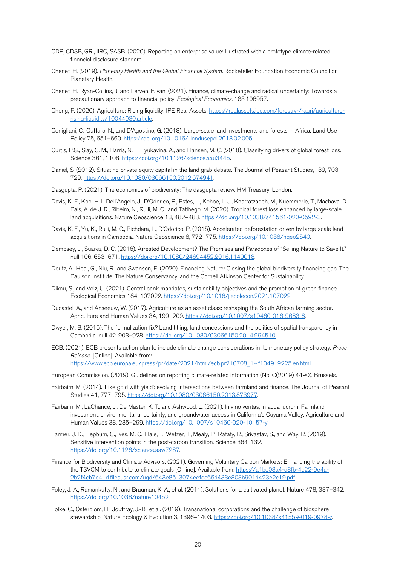- CDP, CDSB, GRI, IIRC, SASB. (2020). Reporting on enterprise value: Illustrated with a prototype climate-related financial disclosure standard.
- Chenet, H. (2019). *Planetary Health and the Global Financial System*. Rockefeller Foundation Economic Council on Planetary Health.
- Chenet, H., Ryan-Collins, J. and Lerven, F. van. (2021). Finance, climate-change and radical uncertainty: Towards a precautionary approach to financial policy. *Ecological Economics*. 183,106957.
- Chong, F. (2020). Agriculture: Rising liquidity. IPE Real Assets. [https://realassets.ipe.com/forestry-/-agri/agriculture](https://realassets.ipe.com/forestry-/-agri/agriculture-rising-liquidity/10044030.article)[rising-liquidity/10044030.article.](https://realassets.ipe.com/forestry-/-agri/agriculture-rising-liquidity/10044030.article)
- Conigliani, C., Cuffaro, N., and D'Agostino, G. (2018). Large-scale land investments and forests in Africa. Land Use Policy 75, 651–660. [https://doi.org/10.1016/j.landusepol.2018.02.005.](https://doi.org/10.1016/j.landusepol.2018.02.005)
- Curtis, P.G., Slay, C. M., Harris, N. L., Tyukavina, A., and Hansen, M. C. (2018). Classifying drivers of global forest loss. Science 361, 1108[. https://doi.org/10.1126/science.aau3445.](https://doi.org/10.1126/science.aau3445)
- Daniel, S. (2012). Situating private equity capital in the land grab debate. The Journal of Peasant Studies, I 39, 703-729[. https://doi.org/10.1080/03066150.2012.674941.](https://doi.org/10.1080/03066150.2012.674941)
- Dasgupta, P. (2021). The economics of biodiversity: The dasgupta review. HM Treasury, London.
- Davis, K. F., Koo, H. I., Dell'Angelo, J., D'Odorico, P., Estes, L., Kehoe, L. J., Kharratzadeh, M., Kuemmerle, T., Machava, D., Pais, A. de J. R., Ribeiro, N., Rulli, M. C., and Tatlhego, M. (2020). Tropical forest loss enhanced by large-scale land acquisitions. Nature Geoscience 13, 482–488. [https://doi.org/10.1038/s41561-020-0592-3.](https://doi.org/10.1038/s41561-020-0592-3)
- Davis, K. F., Yu, K., Rulli, M. C., Pichdara, L., D'Odorico, P. (2015). Accelerated deforestation driven by large-scale land acquisitions in Cambodia. Nature Geoscience 8, 772–775. [https://doi.org/10.1038/ngeo2540.](https://doi.org/10.1038/ngeo2540)
- Dempsey, J., Suarez, D. C. (2016). Arrested Development? The Promises and Paradoxes of "Selling Nature to Save It." null 106, 653–671. [https://doi.org/10.1080/24694452.2016.1140018.](https://doi.org/10.1080/24694452.2016.1140018)
- Deutz, A., Heal, G., Niu, R., and Swanson, E. (2020). Financing Nature: Closing the global biodiversity financing gap. The Paulson Institute, The Nature Conservancy, and the Cornell Atkinson Center for Sustainability.
- Dikau, S., and Volz, U. (2021). Central bank mandates, sustainability objectives and the promotion of green finance. Ecological Economics 184, 107022. [https://doi.org/10.1016/j.ecolecon.2021.107022.](https://doi.org/10.1016/j.ecolecon.2021.107022)
- Ducastel, A., and Anseeuw, W. (2017). Agriculture as an asset class: reshaping the South African farming sector. Agriculture and Human Values 34, 199–209[. https://doi.org/10.1007/s10460-016-9683-6.](https://doi.org/10.1007/s10460-016-9683-6)
- Dwyer, M. B. (2015). The formalization fix? Land titling, land concessions and the politics of spatial transparency in Cambodia. null 42, 903–928. [https://doi.org/10.1080/03066150.2014.994510.](https://doi.org/10.1080/03066150.2014.994510)
- ECB. (2021). ECB presents action plan to include climate change considerations in its monetary policy strategy. *Press Release*. [Online]. Available from: [https://www.ecb.europa.eu/press/pr/date/2021/html/ecb.pr210708\\_1~f104919225.en.html.](https://www.ecb.europa.eu/press/pr/date/2021/html/ecb.pr210708_1%7Ef104919225.en.html)
- European Commission. (2019). Guidelines on reporting climate-related information (No. C(2019) 4490). Brussels.
- Fairbairn, M. (2014). 'Like gold with yield': evolving intersections between farmland and finance. The Journal of Peasant Studies 41, 777–795. [https://doi.org/10.1080/03066150.2013.873977.](https://doi.org/10.1080/03066150.2013.873977)
- Fairbairn, M., LaChance, J., De Master, K. T., and Ashwood, L. (2021). In vino veritas, in aqua lucrum: Farmland investment, environmental uncertainty, and groundwater access in California's Cuyama Valley. Agriculture and Human Values 38, 285–299. [https://doi.org/10.1007/s10460-020-10157-y.](https://doi.org/10.1007/s10460-020-10157-y)
- Farmer, J. D., Hepburn, C., Ives, M. C., Hale, T., Wetzer, T., Mealy, P., Rafaty, R., Srivastav, S., and Way, R. (2019). Sensitive intervention points in the post-carbon transition. Science 364, 132. [https://doi.org/10.1126/science.aaw7287.](https://doi.org/10.1126/science.aaw7287)
- Finance for Biodiversity and Climate Advisors. (2021). Governing Voluntary Carbon Markets: Enhancing the ability of the TSVCM to contribute to climate goals [Online]. Available from[: https://a1be08a4-d8fb-4c22-9e4a-](https://a1be08a4-d8fb-4c22-9e4a-2b2f4cb7e41d.filesusr.com/ugd/643e85_3074eefec66d433e803b901d423e2c19.pdf)[2b2f4cb7e41d.filesusr.com/ugd/643e85\\_3074eefec66d433e803b901d423e2c19.pdf.](https://a1be08a4-d8fb-4c22-9e4a-2b2f4cb7e41d.filesusr.com/ugd/643e85_3074eefec66d433e803b901d423e2c19.pdf)
- Foley, J. A., Ramankutty, N., and Brauman, K. A., et al. (2011). Solutions for a cultivated planet. Nature 478, 337–342. [https://doi.org/10.1038/nature10452.](https://doi.org/10.1038/nature10452)
- Folke, C., Österblom, H., Jouffray, J.-B., et al. (2019). Transnational corporations and the challenge of biosphere stewardship. Nature Ecology & Evolution 3, 1396–1403[. https://doi.org/10.1038/s41559-019-0978-z.](https://doi.org/10.1038/s41559-019-0978-z)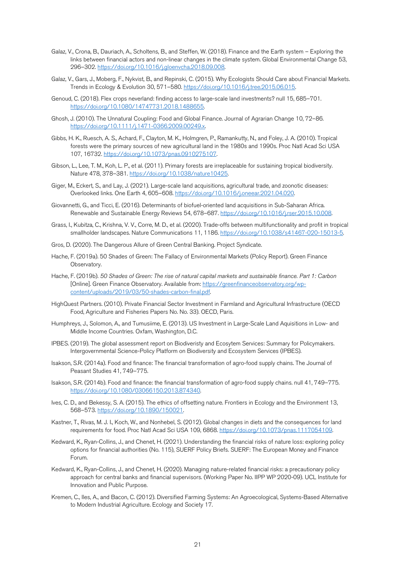- Galaz, V., Crona, B., Dauriach, A., Scholtens, B., and Steffen, W. (2018). Finance and the Earth system Exploring the links between financial actors and non-linear changes in the climate system. Global Environmental Change 53, 296–302. [https://doi.org/10.1016/j.gloenvcha.2018.09.008.](https://doi.org/10.1016/j.gloenvcha.2018.09.008)
- Galaz, V., Gars, J., Moberg, F., Nykvist, B., and Repinski, C. (2015). Why Ecologists Should Care about Financial Markets. Trends in Ecology & Evolution 30, 571-580. https://doi.org/10.1016/j.tree.2015.06.015.
- Genoud, C. (2018). Flex crops neverland: finding access to large-scale land investments? null 15, 685–701. [https://doi.org/10.1080/14747731.2018.1488655.](https://doi.org/10.1080/14747731.2018.1488655)
- Ghosh, J. (2010). The Unnatural Coupling: Food and Global Finance. Journal of Agrarian Change 10, 72–86. https://doi.org/10.1111/j.1471-0366.2009.00249.x.
- Gibbs, H. K., Ruesch, A. S., Achard, F., Clayton, M. K., Holmgren, P., Ramankutty, N., and Foley, J. A. (2010). Tropical forests were the primary sources of new agricultural land in the 1980s and 1990s. Proc Natl Acad Sci USA 107, 16732[. https://doi.org/10.1073/pnas.0910275107.](https://doi.org/10.1073/pnas.0910275107)
- Gibson, L., Lee, T. M., Koh, L. P., et al. (2011). Primary forests are irreplaceable for sustaining tropical biodiversity. Nature 478, 378–381. [https://doi.org/10.1038/nature10425.](https://doi.org/10.1038/nature10425)
- Giger, M., Eckert, S., and Lay, J. (2021). Large-scale land acquisitions, agricultural trade, and zoonotic diseases: Overlooked links. One Earth 4, 605–608. [https://doi.org/10.1016/j.oneear.2021.04.020.](https://doi.org/10.1016/j.oneear.2021.04.020)
- Giovannetti, G., and Ticci, E. (2016). Determinants of biofuel-oriented land acquisitions in Sub-Saharan Africa. Renewable and Sustainable Energy Reviews 54, 678–687. [https://doi.org/10.1016/j.rser.2015.10.008.](https://doi.org/10.1016/j.rser.2015.10.008)
- Grass, I., Kubitza, C., Krishna, V. V., Corre, M. D., et al. (2020). Trade-offs between multifunctionality and profit in tropical smallholder landscapes. Nature Communications 11, 1186. https://doi.org/10.1038/s41467-020-15013-5.
- Gros, D. (2020). The Dangerous Allure of Green Central Banking. Project Syndicate.
- Hache, F. (2019a). 50 Shades of Green: The Fallacy of Environmental Markets (Policy Report). Green Finance Observatory.
- Hache, F. (2019b). *50 Shades of Green: The rise of natural capital markets and sustainable finance. Part 1: Carbon* [Online]. Green Finance Observatory. Available from[: https://greenfinanceobservatory.org/wp](https://greenfinanceobservatory.org/wp-content/uploads/2019/03/50-shades-carbon-final.pdf)[content/uploads/2019/03/50-shades-carbon-final.pdf.](https://greenfinanceobservatory.org/wp-content/uploads/2019/03/50-shades-carbon-final.pdf)
- HighQuest Partners. (2010). Private Financial Sector Investment in Farmland and Agricultural Infrastructure (OECD Food, Agriculture and Fisheries Papers No. No. 33). OECD, Paris.
- Humphreys, J., Solomon, A., and Tumusiime, E. (2013). US Investment in Large-Scale Land Aquisitions in Low- and Middle Income Countries. Oxfam, Washington, D.C.
- IPBES. (2019). The global assessment report on Biodiveristy and Ecosytem Services: Summary for Policymakers. Intergovernmental Science-Policy Platform on Biodiversity and Ecosystem Services (IPBES).
- Isakson, S.R. (2014a). Food and finance: The financial transformation of agro-food supply chains. The Journal of Peasant Studies 41, 749–775.
- Isakson, S.R. (2014b). Food and finance: the financial transformation of agro-food supply chains. null 41, 749–775. [https://doi.org/10.1080/03066150.2013.874340.](https://doi.org/10.1080/03066150.2013.874340)
- Ives, C. D., and Bekessy, S. A. (2015). The ethics of offsetting nature. Frontiers in Ecology and the Environment 13, 568–573. [https://doi.org/10.1890/150021.](https://doi.org/10.1890/150021)
- Kastner, T., Rivas, M. J. I., Koch, W., and Nonhebel, S. (2012). Global changes in diets and the consequences for land requirements for food. Proc Natl Acad Sci USA 109, 6868. [https://doi.org/10.1073/pnas.1117054109.](https://doi.org/10.1073/pnas.1117054109)
- Kedward, K., Ryan-Collins, J., and Chenet, H. (2021). Understanding the financial risks of nature loss: exploring policy options for financial authorities (No. 115), SUERF Policy Briefs. SUERF: The European Money and Finance Forum.
- Kedward, K., Ryan-Collins, J., and Chenet, H. (2020). Managing nature-related financial risks: a precautionary policy approach for central banks and financial supervisors. (Working Paper No. IIPP WP 2020-09). UCL Institute for Innovation and Public Purpose.
- Kremen, C., Iles, A., and Bacon, C. (2012). Diversified Farming Systems: An Agroecological, Systems-Based Alternative to Modern Industrial Agriculture. Ecology and Society 17.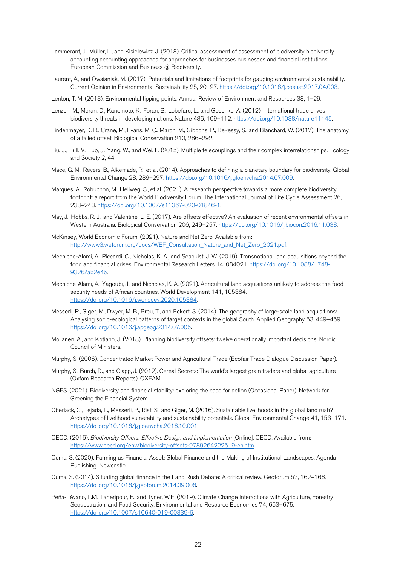- Lammerant, J., Müller, L., and Kisielewicz, J. (2018). Critical assessment of assessment of biodiversity biodiversity accounting accounting approaches for approaches for businesses businesses and financial institutions. European Commission and Business @ Biodiversity.
- Laurent, A., and Owsianiak, M. (2017). Potentials and limitations of footprints for gauging environmental sustainability. Current Opinion in Environmental Sustainability 25, 20–27. [https://doi.org/10.1016/j.cosust.2017.04.003.](https://doi.org/10.1016/j.cosust.2017.04.003)
- Lenton, T. M. (2013). Environmental tipping points. Annual Review of Environment and Resources 38, 1–29.
- Lenzen, M., Moran, D., Kanemoto, K., Foran, B., Lobefaro, L., and Geschke, A. (2012). International trade drives biodiversity threats in developing nations. Nature 486, 109-112. https://doi.org/10.1038/nature11145.
- Lindenmayer, D. B., Crane, M., Evans, M. C., Maron, M., Gibbons, P., Bekessy, S., and Blanchard, W. (2017). The anatomy of a failed offset. Biological Conservation 210, 286–292.
- Liu, J., Hull, V., Luo, J., Yang, W., and Wei, L. (2015). Multiple telecouplings and their complex interrelationships. Ecology and Society 2, 44.
- Mace, G. M., Reyers, B., Alkemade, R., et al. (2014). Approaches to defining a planetary boundary for biodiversity. Global Environmental Change 28, 289–297. [https://doi.org/10.1016/j.gloenvcha.2014.07.009.](https://doi.org/10.1016/j.gloenvcha.2014.07.009)
- Marques, A., Robuchon, M., Hellweg, S., et al. (2021). A research perspective towards a more complete biodiversity footprint: a report from the World Biodiversity Forum. The International Journal of Life Cycle Assessment 26, 238–243. [https://doi.org/10.1007/s11367-020-01846-1.](https://doi.org/10.1007/s11367-020-01846-1)
- May, J., Hobbs, R. J., and Valentine, L. E. (2017). Are offsets effective? An evaluation of recent environmental offsets in Western Australia. Biological Conservation 206, 249-257. https://doi.org/10.1016/j.biocon.2016.11.038.
- McKinsey, World Economic Forum. (2021). Nature and Net Zero. Available from: http://www3.weforum.org/docs/WEF\_Consultation\_Nature\_and\_Net\_Zero\_2021.pdf.
- Mechiche-Alami, A., Piccardi, C., Nicholas, K. A., and Seaquist, J. W. (2019). Transnational land acquisitions beyond the food and financial crises. Environmental Research Letters 14, 084021[. https://doi.org/10.1088/1748-](https://doi.org/10.1088/1748-9326/ab2e4b) [9326/ab2e4b.](https://doi.org/10.1088/1748-9326/ab2e4b)
- Mechiche-Alami, A., Yagoubi, J., and Nicholas, K. A. (2021). Agricultural land acquisitions unlikely to address the food security needs of African countries. World Development 141, 105384. [https://doi.org/10.1016/j.worlddev.2020.105384.](https://doi.org/10.1016/j.worlddev.2020.105384)
- Messerli, P., Giger, M., Dwyer, M. B., Breu, T., and Eckert, S. (2014). The geography of large-scale land acquisitions: Analysing socio-ecological patterns of target contexts in the global South. Applied Geography 53, 449–459. [https://doi.org/10.1016/j.apgeog.2014.07.005.](https://doi.org/10.1016/j.apgeog.2014.07.005)
- Moilanen, A., and Kotiaho, J. (2018). Planning biodiversity offsets: twelve operationally important decisions. Nordic Council of Ministers.
- Murphy, S. (2006). Concentrated Market Power and Agricultural Trade (Ecofair Trade Dialogue Discussion Paper).
- Murphy, S., Burch, D., and Clapp, J. (2012). Cereal Secrets: The world's largest grain traders and global agriculture (Oxfam Research Reports). OXFAM.
- NGFS. (2021). Biodiversity and financial stability: exploring the case for action (Occasional Paper). Network for Greening the Financial System.
- Oberlack, C., Tejada, L., Messerli, P., Rist, S., and Giger, M. (2016). Sustainable livelihoods in the global land rush? Archetypes of livelihood vulnerability and sustainability potentials. Global Environmental Change 41, 153–171. [https://doi.org/10.1016/j.gloenvcha.2016.10.001.](https://doi.org/10.1016/j.gloenvcha.2016.10.001)
- OECD. (2016). *Biodiversity Offsets: Effective Design and Implementation* [Online]. OECD. Available from: [https://www.oecd.org/env/biodiversity-offsets-9789264222519-en.htm.](https://www.oecd.org/env/biodiversity-offsets-9789264222519-en.htm)
- Ouma, S. (2020). Farming as Financial Asset: Global Finance and the Making of Institutional Landscapes. Agenda Publishing, Newcastle.
- Ouma, S. (2014). Situating global finance in the Land Rush Debate: A critical review. Geoforum 57, 162–166. [https://doi.org/10.1016/j.geoforum.2014.09.006.](https://doi.org/10.1016/j.geoforum.2014.09.006)
- Peña-Lévano, L.M., Taheripour, F., and Tyner, W.E. (2019). Climate Change Interactions with Agriculture, Forestry Sequestration, and Food Security. Environmental and Resource Economics 74, 653–675. [https://doi.org/10.1007/s10640-019-00339-6.](https://doi.org/10.1007/s10640-019-00339-6)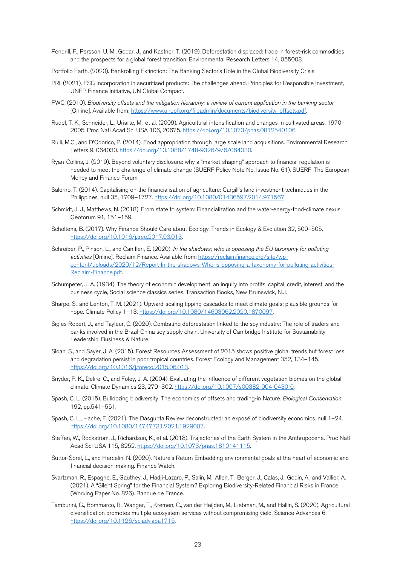- Pendrill, F., Persson, U. M., Godar, J., and Kastner, T. (2019). Deforestation displaced: trade in forest-risk commodities and the prospects for a global forest transition. Environmental Research Letters 14, 055003.
- Portfolio Earth. (2020). Bankrolling Extinction: The Banking Sector's Role in the Global Biodiversity Crisis.
- PRI, (2021). ESG incorporation in securitised products: The challenges ahead. Principles for Responsible Investment, UNEP Finance Initiative, UN Global Compact.
- PWC. (2010). *Biodiversity offsets and the mitigation hierarchy: a review of current application in the banking sector* [Online]. Available from: [https://www.unepfi.org/fileadmin/documents/biodiversity\\_offsets.pdf.](https://www.unepfi.org/fileadmin/documents/biodiversity_offsets.pdf)
- Rudel, T. K., Schneider, L., Uriarte, M., et al. (2009). Agricultural intensification and changes in cultivated areas, 1970– 2005. Proc Natl Acad Sci USA 106, 20675. [https://doi.org/10.1073/pnas.0812540106.](https://doi.org/10.1073/pnas.0812540106)
- Rulli, M.C., and D'Odorico, P. (2014). Food appropriation through large scale land acquisitions. Environmental Research Letters 9, 064030. [https://doi.org/10.1088/1748-9326/9/6/064030.](https://doi.org/10.1088/1748-9326/9/6/064030)
- Ryan-Collins, J. (2019). Beyond voluntary disclosure: why a "market-shaping" approach to financial regulation is needed to meet the challenge of climate change (SUERF Policy Note No. Issue No. 61). SUERF: The European Money and Finance Forum.
- Salerno, T. (2014). Capitalising on the financialisation of agriculture: Cargill's land investment techniques in the Philippines. null 35, 1709–1727. [https://doi.org/10.1080/01436597.2014.971567.](https://doi.org/10.1080/01436597.2014.971567)
- Schmidt, J. J., Matthews, N. (2018). From state to system: Financialization and the water-energy-food-climate nexus. Geoforum 91, 151–159.
- Scholtens, B. (2017). Why Finance Should Care about Ecology. Trends in Ecology & Evolution 32, 500–505. [https://doi.org/10.1016/j.tree.2017.03.013.](https://doi.org/10.1016/j.tree.2017.03.013)
- Schreiber, P., Pinson, L., and Can Ileri, E. (2020). *In the shadows: who is opposing the EU taxonomy for polluting activities* [Online]. Reclaim Finance. Available from: [https://reclaimfinance.org/site/wp](https://reclaimfinance.org/site/wp-content/uploads/2020/12/Report-In-the-shadows-Who-is-opposing-a-taxonomy-for-polluting-activities-Reclaim-Finance.pdf)[content/uploads/2020/12/Report-In-the-shadows-Who-is-opposing-a-taxonomy-for-polluting-activities-](https://reclaimfinance.org/site/wp-content/uploads/2020/12/Report-In-the-shadows-Who-is-opposing-a-taxonomy-for-polluting-activities-Reclaim-Finance.pdf)[Reclaim-Finance.pdf.](https://reclaimfinance.org/site/wp-content/uploads/2020/12/Report-In-the-shadows-Who-is-opposing-a-taxonomy-for-polluting-activities-Reclaim-Finance.pdf)
- Schumpeter, J. A. (1934). The theory of economic development: an inquiry into profits, capital, credit, interest, and the business cycle, Social science classics series. Transaction Books, New Brunswick, N.J.
- Sharpe, S., and Lenton, T. M. (2021). Upward-scaling tipping cascades to meet climate goals: plausible grounds for hope. Climate Policy 1-13. https://doi.org/10.1080/14693062.2020.1870097.
- Sigles Robert, J., and Tayleur, C. (2020). Combating deforestation linked to the soy industry: The role of traders and banks involved in the Brazil-China soy supply chain. University of Cambridge Institute for Sustainability Leadership, Business & Nature.
- Sloan, S., and Sayer, J. A. (2015). Forest Resources Assessment of 2015 shows positive global trends but forest loss and degradation persist in poor tropical countries. Forest Ecology and Management 352, 134–145. [https://doi.org/10.1016/j.foreco.2015.06.013.](https://doi.org/10.1016/j.foreco.2015.06.013)
- Snyder, P. K., Delire, C., and Foley, J. A. (2004). Evaluating the influence of different vegetation biomes on the global climate. Climate Dynamics 23, 279-302. https://doi.org/10.1007/s00382-004-0430-0.
- Spash, C. L. (2015). Bulldozing biodiversity: The economics of offsets and trading-in Nature. *Biological Conservation*. 192, pp.541–551.
- Spash, C. L., Hache, F. (2021). The Dasgupta Review deconstructed: an exposé of biodiversity economics. null 1–24. [https://doi.org/10.1080/14747731.2021.1929007.](https://doi.org/10.1080/14747731.2021.1929007)
- Steffen, W., Rockström, J., Richardson, K., et al. (2018). Trajectories of the Earth System in the Anthropocene. Proc Natl Acad Sci USA 115, 8252[. https://doi.org/10.1073/pnas.1810141115.](https://doi.org/10.1073/pnas.1810141115)
- Suttor-Sorel, L., and Hercelin, N. (2020). Nature's Return Embedding environmental goals at the heart of economic and financial decision-making. Finance Watch.
- Svartzman, R., Espagne, E., Gauthey, J., Hadji-Lazaro, P., Salin, M., Allen, T., Berger, J., Calas, J., Godin, A., and Vallier, A. (2021). A "Silent Spring" for the Financial System? Exploring Biodiversity-Related Financial Risks in France (Working Paper No. 826). Banque de France.
- Tamburini, G., Bommarco, R., Wanger, T., Kremen, C., van der Heijden, M., Liebman, M., and Hallin, S. (2020). Agricultural diversification promotes multiple ecosystem services without compromising yield. Science Advances 6. [https://doi.org/10.1126/sciadv.aba1715.](https://doi.org/10.1126/sciadv.aba1715)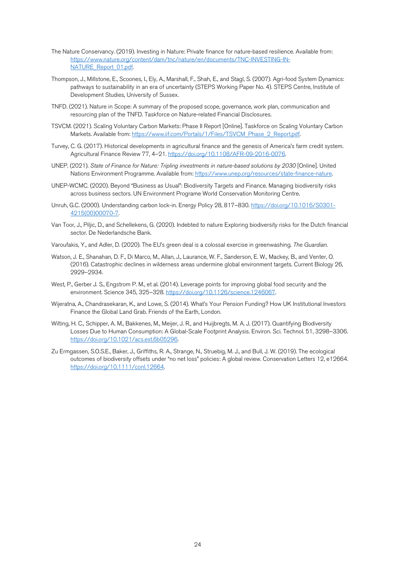- The Nature Conservancy. (2019). Investing in Nature: Private finance for nature-based resilience. Available from: [https://www.nature.org/content/dam/tnc/nature/en/documents/TNC-INVESTING-IN-](https://www.nature.org/content/dam/tnc/nature/en/documents/TNC-INVESTING-IN-NATURE_Report_01.pdf)NATURE\_Report\_01.pdf.
- Thompson, J., Millstone, E., Scoones, I., Ely, A., Marshall, F., Shah, E., and Stagl, S. (2007). Agri-food System Dynamics: pathways to sustainability in an era of uncertainty (STEPS Working Paper No. 4). STEPS Centre, Institute of Development Studies, University of Sussex.
- TNFD. (2021). Nature in Scope: A summary of the proposed scope, governance, work plan, communication and resourcing plan of the TNFD. Taskforce on Nature-related Financial Disclosures.
- TSVCM. (2021). Scaling Voluntary Carbon Markets: Phase II Report [Online]. Taskforce on Scaling Voluntary Carbon Markets. Available from[: https://www.iif.com/Portals/1/Files/TSVCM\\_Phase\\_2\\_Report.pdf.](https://www.iif.com/Portals/1/Files/TSVCM_Phase_2_Report.pdf)
- Turvey, C. G. (2017). Historical developments in agricultural finance and the genesis of America's farm credit system. Agricultural Finance Review 77, 4–21. [https://doi.org/10.1108/AFR-09-2016-0076.](https://doi.org/10.1108/AFR-09-2016-0076)
- UNEP. (2021). *State of Finance for Nature: Tripling investments in nature-based solutions by 2030* [Online]. United Nations Environment Programme. Available from[: https://www.unep.org/resources/state-finance-nature.](https://www.unep.org/resources/state-finance-nature)
- UNEP-WCMC. (2020). Beyond "Business as Usual": Biodiversity Targets and Finance. Managing biodiversity risks across business sectors. UN Environment Programe World Conservation Monitoring Centre.
- Unruh, G.C. (2000). Understanding carbon lock-in. Energy Policy 28, 817–830. [https://doi.org/10.1016/S0301-](https://doi.org/10.1016/S0301-4215(00)00070-7) [4215\(00\)00070-7.](https://doi.org/10.1016/S0301-4215(00)00070-7)
- Van Toor, J., Piljic, D., and Schellekens, G. (2020). Indebted to nature Exploring biodiversity risks for the Dutch financial sector. De Nederlandsche Bank.
- Varoufakis, Y., and Adler, D. (2020). The EU's green deal is a colossal exercise in greenwashing. *The Guardian*.
- Watson, J. E., Shanahan, D. F., Di Marco, M., Allan, J., Laurance, W. F., Sanderson, E. W., Mackey, B., and Venter, O. (2016). Catastrophic declines in wilderness areas undermine global environment targets. Current Biology 26, 2929–2934.
- West, P., Gerber J. S., Engstrom P. M., et al. (2014). Leverage points for improving global food security and the environment. Science 345, 325–328. [https://doi.org/10.1126/science.1246067.](https://doi.org/10.1126/science.1246067)
- Wijeratna, A., Chandrasekaran, K., and Lowe, S. (2014). What's Your Pension Funding? How UK Institutional Investors Finance the Global Land Grab. Friends of the Earth, London.
- Wilting, H. C., Schipper, A. M., Bakkenes, M., Meijer, J. R., and Huijbregts, M. A. J. (2017). Quantifying Biodiversity Losses Due to Human Consumption: A Global-Scale Footprint Analysis. Environ. Sci. Technol. 51, 3298–3306. [https://doi.org/10.1021/acs.est.6b05296.](https://doi.org/10.1021/acs.est.6b05296)
- Zu Ermgassen, S.O.S.E., Baker, J., Griffiths, R. A., Strange, N., Struebig, M. J., and Bull, J. W. (2019). The ecological outcomes of biodiversity offsets under "no net loss" policies: A global review. Conservation Letters 12, e12664. [https://doi.org/10.1111/conl.12664.](https://doi.org/10.1111/conl.12664)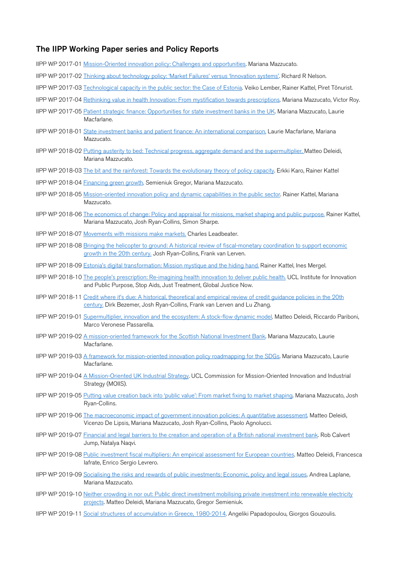#### The IIPP Working Paper series and Policy Reports

IIPP WP 2017-01 [Mission-Oriented innovation policy: Challenges and opportunities.](https://www.ucl.ac.uk/bartlett/public-purpose/publications/2017/oct/mission-oriented-innovation-policy-challenges-and-opportunities) Mariana Mazzucato.

- IIPP WP 2017-02 [Thinking about technology policy: 'Market Failures' versus 'Innovation systems'.](https://www.ucl.ac.uk/bartlett/public-purpose/publications/2017/nov/thinking-about-technology-policy-market-failures-versus-innovation-systems) Richard R Nelson.
- IIPP WP 2017-03 Technological capacity in the public sector: the Case of Estonia. Veiko Lember, Rainer Kattel, Piret Tõnurist.
- IIPP WP 2017-04 [Rethinking value in health Innovation: From mystification towards prescriptions.](https://www.ucl.ac.uk/bartlett/public-purpose/research/publications/) Mariana Mazzucato, Victor Roy.
- IIPP WP 2017-05 [Patient strategic finance: Opportunities for state investment banks in the UK.](https://www.ucl.ac.uk/bartlett/public-purpose/wp2017-05) Mariana Mazzucato, Laurie Macfarlane.
- IIPP WP 2018-01 State investment banks and patient finance: An international comparison, Laurie Macfarlane, Mariana Mazzucato.
- IIPP WP 2018-02 [Putting austerity to bed: Technical progress, aggregate demand and the supermultiplier.](https://www.ucl.ac.uk/bartlett/public-purpose/publications/2018/jan/putting-austerity-bed-technical-progress-aggregate-demand-and-supermultiplier) Matteo Deleidi, Mariana Mazzucato.

IIPP WP 2018-03 [The bit and the rainforest: Towards the evolutionary theory of policy capacity.](http://www.ucl.ac.uk/bartlett/public-purpose/wp2018-03) Erkki Karo, Rainer Kattel

- IIPP WP 2018-04 [Financing green growth.](https://www.ucl.ac.uk/bartlett/public-purpose/publications/2018/jun/financing-green-growth) Semieniuk Gregor, Mariana Mazzucato.
- IIPP WP 2018-05 [Mission-oriented innovation policy and dynamic capabilities in the public sector.](https://www.ucl.ac.uk/bartlett/public-purpose/publications/2018/jul/mission-oriented-innovation-policy-and-dynamic-capabilities-public-sector) Rainer Kattel, Mariana Mazzucato.
- IIPP WP 2018-06 [The economics of change: Policy and appraisal for missions, market shaping and public purpose.](http://www.ucl.ac.uk/bartlett/public-purpose/wp2018-06) Rainer Kattel, Mariana Mazzucato, Josh Ryan-Collins, Simon Sharpe.
- IIPP WP 2018-07 [Movements with missions make markets.](https://www.ucl.ac.uk/bartlett/public-purpose/wp2018-07) Charles Leadbeater.
- IIPP WP 2018-08 Bringing the helicopter to ground: A historical review of fiscal-monetary coordination to support economic [growth in the 20th century.](https://www.ucl.ac.uk/bartlett/public-purpose/wp2018-08) Josh Ryan-Collins, Frank van Lerven.
- IIPP WP 2018-09 [Estonia's digital transformation: Mission mystique and the hiding hand.](https://www.ucl.ac.uk/bartlett/public-purpose/publications/2018/sep/estonias-digital-transformation-mission-mystique-and-hiding-hand) Rainer Kattel, Ines Mergel.
- IIPP WP 2018-10 [The people's prescription: Re-imagining health innovation to deliver public health.](https://www.ucl.ac.uk/bartlett/public-purpose/publications/2018/oct/peoples-prescription) UCL Institute for Innovation and Public Purpose, Stop Aids, Just Treatment, Global Justice Now.
- IIPP WP 2018-11 Credit where it's due: A historical, theoretical and empirical review of credit guidance policies in the 20th [century.](https://www.ucl.ac.uk/bartlett/public-purpose/publications/2018/nov/credit-where-its-due) Dirk Bezemer, Josh Ryan-Collins, Frank van Lerven and Lu Zhang.
- IIPP WP 2019-01 [Supermultiplier, innovation and the ecosystem: A stock-flow dynamic model.](https://www.ucl.ac.uk/bartlett/public-purpose/publications/2019/jan/supermultiplier-innovation-and-ecosystem) Matteo Deleidi, Riccardo Pariboni, Marco Veronese Passarella.
- IIPP WP 2019-02 [A mission-oriented framework for the Scottish National Investment Bank.](https://www.ucl.ac.uk/bartlett/public-purpose/publications/2019/mar/mission-oriented-framework-scottish-national-investment-bank) Mariana Mazzucato, Laurie Macfarlane.
- IIPP WP 2019-03 [A framework for mission-oriented innovation policy roadmapping for the SDGs.](https://www.ucl.ac.uk/bartlett/public-purpose/wp2019-03) Mariana Mazzucato, Laurie Macfarlane.
- IIPP WP 2019-04 [A Mission-Oriented UK Industrial Strategy.](https://www.ucl.ac.uk/bartlett/public-purpose/news/2019/may/mission-oriented-uk-industrial-strategy-report-sets-out-innovative-approach-grand) UCL Commission for Mission-Oriented Innovation and Industrial Strategy (MOIIS).
- IIPP WP 2019-05 [Putting value creation back into 'public value': From market fixing to market shaping.](https://www.ucl.ac.uk/bartlett/public-purpose/publications/2019/jun/putting-value-creation-back-public-value-market-fixing-market-shaping) Mariana Mazzucato, Josh Ryan-Collins.
- IIPP WP 2019-06 [The macroeconomic impact of government innovation policies: A quantitative assessment.](https://www.ucl.ac.uk/bartlett/public-purpose/wp2019-06) Matteo Deleidi, Vicenzo De Lipsis, Mariana Mazzucato, Josh Ryan-Collins, Paolo Agnolucci.
- IIPP WP 2019-07 [Financial and legal barriers to the creation and operation of a British national investment bank.](https://www.ucl.ac.uk/bartlett/public-purpose/wp2019-07) Rob Calvert Jump, Natalya Naqvi.
- IIPP WP 2019-08 [Public investment fiscal multipliers: An empirical assessment for European countries.](https://www.ucl.ac.uk/bartlett/public-purpose/wp2019-08) Matteo Deleidi, Francesca Iafrate, Enrico Sergio Levrero.
- IIPP WP 2019-09 [Socialising the risks and rewards of public investments: Economic, policy and legal issues.](https://www.ucl.ac.uk/bartlett/public-purpose/wp2019-09) Andrea Laplane, Mariana Mazzucato.
- IIPP WP 2019-10 Neither crowding in nor out: Public direct investment mobilising private investment into renewable electricity [projects.](https://www.ucl.ac.uk/bartlett/public-purpose/wp2019-10) Matteo Deleidi, Mariana Mazzucato, Gregor Semieniuk.
- IIPP WP 2019-11 [Social structures of accumulation in Greece, 1980-2014.](https://www.ucl.ac.uk/bartlett/public-purpose/wp2019-11) Angeliki Papadopoulou, Giorgos Gouzoulis.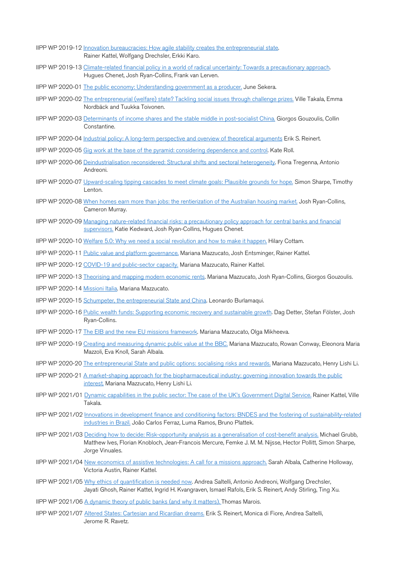- IIPP WP 2019-12 [Innovation bureaucracies: How agile stability creates the entrepreneurial state.](https://www.ucl.ac.uk/bartlett/public-purpose/wp2019-12)  Rainer Kattel, Wolfgang Drechsler, Erkki Karo.
- IIPP WP 2019-13 [Climate-related financial policy in a world of radical uncertainty: Towards a precautionary approach.](https://www.ucl.ac.uk/bartlett/public-purpose/wp2019-13)  Hugues Chenet, Josh Ryan-Collins, Frank van Lerven.
- IIPP WP 2020-01 [The public economy: Understanding government as a producer.](https://www.ucl.ac.uk/bartlett/public-purpose/publications/2020/jan/public-economy-understanding-government-producer) June Sekera.
- IIPP WP 2020-02 [The entrepreneurial \(welfare\) state? Tackling social issues through challenge prizes.](https://www.ucl.ac.uk/bartlett/public-purpose/wp2020-02) Ville Takala, Emma Nordbäck and Tuukka Toivonen.
- IIPP WP 2020-03 [Determinants of income shares and the stable middle in post-socialist China.](https://www.ucl.ac.uk/bartlett/public-purpose/wp2020-03) Giorgos Gouzoulis, Collin Constantine.
- IIPP WP 2020-04 [Industrial policy: A long-term perspective and overview of theoretical arguments](https://www.ucl.ac.uk/bartlett/public-purpose/wp2020-04) Erik S. Reinert.
- IIPP WP 2020-05 [Gig work at the base of the pyramid: considering dependence and control.](https://www.ucl.ac.uk/bartlett/public-purpose/wp2020-06) Kate Roll.
- IIPP WP 2020-06 [Deindustrialisation reconsidered: Structural shifts and sectoral heterogeneity.](https://www.ucl.ac.uk/bartlett/public-purpose/publications/2020/jul/deindustrialisation-reconsidered-structural-shifts-and-sectoral-heterogeneity) Fiona Tregenna, Antonio Andreoni.
- IIPP WP 2020-07 [Upward-scaling tipping cascades to meet climate goals: Plausible grounds for hope.](https://www.ucl.ac.uk/bartlett/public-purpose/publications/2020/jul/upward-scaling-tipping-cascades-meet-climate-goals-plausible-grounds-hope) Simon Sharpe, Timothy Lenton.
- IIPP WP 2020-08 [When homes earn more than jobs: the rentierization of the Australian housing market.](https://www.ucl.ac.uk/bartlett/public-purpose/wp2020-08) Josh Ryan-Collins, Cameron Murray.
- IIPP WP 2020-09 [Managing nature-related financial risks: a precautionary policy approach for central banks and financial](https://www.ucl.ac.uk/bartlett/public-purpose/wp2020-09)  [supervisors.](https://www.ucl.ac.uk/bartlett/public-purpose/wp2020-09) Katie Kedward, Josh Ryan-Collins, Hugues Chenet.
- IIPP WP 2020-10 [Welfare 5.0: Why we need a social revolution and how to make it happen.](https://www.ucl.ac.uk/bartlett/public-purpose/wp2020-10) Hilary Cottam.
- IIPP WP 2020-11 [Public value and platform governance.](https://www.ucl.ac.uk/bartlett/public-purpose/wp2020-11) Mariana Mazzucato, Josh Entsminger, Rainer Kattel.
- IIPP WP 2020-12 [COVID-19 and public-sector capacity.](https://www.ucl.ac.uk/bartlett/public-purpose/wp2020-12) Mariana Mazzucato, Rainer Kattel.
- IIPP WP 2020-13 [Theorising and mapping modern economic rents.](https://www.ucl.ac.uk/bartlett/public-purpose/wp2020-13) Mariana Mazzucato, Josh Ryan-Collins, Giorgos Gouzoulis.
- IIPP WP 2020-14 [Missioni Italia.](https://www.ucl.ac.uk/bartlett/public-purpose/wp2020-13) Mariana Mazzucato.
- IIPP WP 2020-15 [Schumpeter, the entrepreneurial State and China.](https://www.ucl.ac.uk/bartlett/public-purpose/wp2020-15) Leonardo Burlamaqui.
- IIPP WP 2020-16 [Public wealth funds: Supporting economic recovery and sustainable growth.](https://www.ucl.ac.uk/bartlett/public-purpose/wp2020-16) Dag Detter, Stefan Fölster, Josh Ryan-Collins.
- IIPP WP 2020-17 [The EIB and the new EU missions framework.](https://www.ucl.ac.uk/bartlett/public-purpose/wp2020-17) Mariana Mazzucato, Olga Mikheeva.
- IIPP WP 2020-19 [Creating and measuring dynamic public value at the BBC.](https://www.ucl.ac.uk/bartlett/public-purpose/publications/2020/dec/creating-and-measuring-dynamic-public-value-bbc) Mariana Mazzucato, Rowan Conway, Eleonora Maria Mazzoli, Eva Knoll, Sarah Albala.
- IIPP WP 2020-20 [The entrepreneurial State and public options: socialising risks and rewards.](https://www.ucl.ac.uk/bartlett/public-purpose/wp2020-20) Mariana Mazzucato, Henry Lishi Li.
- IIPP WP 2020-21 [A market-shaping approach for the biopharmaceutical industry: governing innovation towards the public](https://www.ucl.ac.uk/bartlett/public-purpose/wp2020-21)  [interest.](https://www.ucl.ac.uk/bartlett/public-purpose/wp2020-21) Mariana Mazzucato, Henry Lishi Li.
- IIPP WP 2021/0[1 Dynamic capabilities in the public sector: The case of the UK's Government Digital Service.](https://www.ucl.ac.uk/bartlett/public-purpose/wp2021-01) Rainer Kattel, Ville Takala.
- IIPP WP 2021/02 [Innovations in development finance and conditioning factors: BNDES and the fostering of sustainability-related](https://www.ucl.ac.uk/bartlett/public-purpose/wp2021-02)  [industries in Brazil.](https://www.ucl.ac.uk/bartlett/public-purpose/wp2021-02) João Carlos Ferraz, Luma Ramos, Bruno Plattek.
- IIPP WP 2021/0[3 Deciding how to decide: Risk-opportunity analysis as a generalisation of cost-benefit analysis.](https://www.ucl.ac.uk/bartlett/public-purpose/wp2021-03) Michael Grubb, Matthew Ives, Florian Knobloch, Jean-Francois Mercure, Femke J. M. M. Nijsse, Hector Pollitt, Simon Sharpe, Jorge Vinuales.
- IIPP WP 2021/0[4 New economics of assistive technologies: A call for a](https://www.ucl.ac.uk/bartlett/public-purpose/wp2021-04) missions approach. Sarah Albala, Catherine Holloway, Victoria Austin, Rainer Kattel.
- IIPP WP 2021/0[5 Why ethics of quantification is needed now.](https://www.ucl.ac.uk/bartlett/public-purpose/wp2021-05) Andrea Saltelli, Antonio Andreoni, Wolfgang Drechsler, Jayati Ghosh, Rainer Kattel, Ingrid H. Kvangraven, Ismael Rafols, Erik S. Reinert, Andy Stirling, Ting Xu.
- IIPP WP 2021/0[6 A dynamic theory of public banks \(and why it matters\). T](https://www.ucl.ac.uk/bartlett/public-purpose/wp2021-06)homas Marois.
- IIPP WP 2021/0[7 Altered States: Cartesian and Ricardian dreams.](https://www.ucl.ac.uk/bartlett/public-purpose/wp2021-07) Erik S. Reinert, Monica di Fiore, Andrea Saltelli, Jerome R. Ravetz.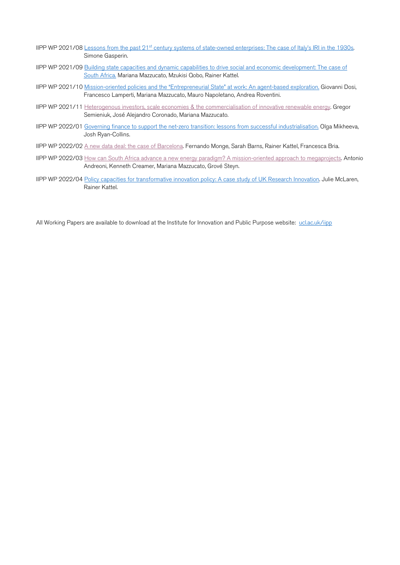- IIPP WP 2021/08 Lessons from the past 21<sup>st</sup> century systems of state-owned enterprises: The case of Italy's IRI in the 1930s. Simone Gasperin.
- IIPP WP 2021/0[9 Building state capacities and dynamic capabilities to drive social and economic development: The case of](https://www.ucl.ac.uk/bartlett/public-purpose/wp2021-09)  [South Africa.](https://www.ucl.ac.uk/bartlett/public-purpose/wp2021-09) Mariana Mazzucato, Mzukisi Qobo, Rainer Kattel.
- IIPP WP 2021/1[0 Mission-oriented policies and the "Entrepreneurial State" at work: An agent-based exploration.](https://www.ucl.ac.uk/bartlett/public-purpose/wp2021-10) Giovanni Dosi, Francesco Lamperti, Mariana Mazzucato, Mauro Napoletano, Andrea Roventini.
- IIPP WP 2021/11 [Heterogenous investors, scale economies & the commercialisation of innovative renewable energy.](https://www.ucl.ac.uk/bartlett/public-purpose/wp2021-11) Gregor Semieniuk, José Alejandro Coronado, Mariana Mazzucato.
- IIPP WP 2022/01 [Governing finance to support the net-zero transition: lessons from successful industrialisation.](https://www.ucl.ac.uk/bartlett/public-purpose/wp2022-01) Olga Mikheeva, Josh Ryan-Collins.
- IIPP WP 2022/02 [A new data deal: the case of Barcelona.](https://www.ucl.ac.uk/bartlett/public-purpose/wp2022-02) Fernando Monge, Sarah Barns, Rainer Kattel, Francesca Bria.
- IIPP WP 2022/0[3 How can South Africa advance a new energy paradigm? A mission-oriented approach to megaprojects.](https://www.ucl.ac.uk/bartlett/public-purpose/wp2022-03) Antonio Andreoni, Kenneth Creamer, Mariana Mazzucato, Grové Steyn.
- IIPP WP 2022/0[4 Policy capacities for transformative innovation policy: A case study of UK Research Innovation.](https://www.ucl.ac.uk/bartlett/public-purpose/wp2022-04) Julie McLaren, Rainer Kattel.

All Working Papers are available to download at the Institute for Innovation and Public Purpose website: [ucl.ac.uk/iipp](http://www.ucl.ac.uk/iipp)